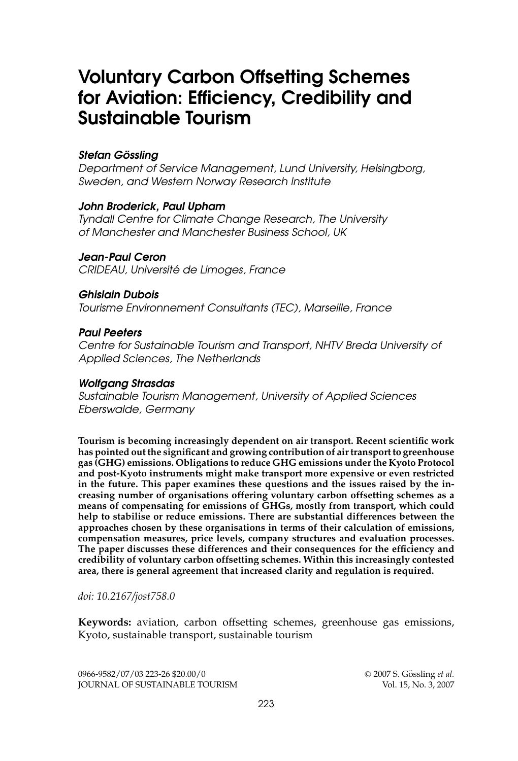# **Voluntary Carbon Offsetting Schemes for Aviation: Efficiency, Credibility and Sustainable Tourism**

# **Stefan Gossling ¨**

Department of Service Management, Lund University, Helsingborg, Sweden, and Western Norway Research Institute

## **John Broderick, Paul Upham**

Tyndall Centre for Climate Change Research, The University of Manchester and Manchester Business School, UK

# **Jean-Paul Ceron**

CRIDEAU, Universite de Limoges, France ´

## **Ghislain Dubois**

Tourisme Environnement Consultants (TEC), Marseille, France

## **Paul Peeters**

Centre for Sustainable Tourism and Transport, NHTV Breda University of Applied Sciences, The Netherlands

## **Wolfgang Strasdas**

Sustainable Tourism Management, University of Applied Sciences Eberswalde, Germany

**Tourism is becoming increasingly dependent on air transport. Recent scientific work has pointed out the significant and growing contribution of air transport to greenhouse gas (GHG) emissions. Obligations to reduce GHG emissions under the Kyoto Protocol and post-Kyoto instruments might make transport more expensive or even restricted in the future. This paper examines these questions and the issues raised by the increasing number of organisations offering voluntary carbon offsetting schemes as a means of compensating for emissions of GHGs, mostly from transport, which could help to stabilise or reduce emissions. There are substantial differences between the approaches chosen by these organisations in terms of their calculation of emissions, compensation measures, price levels, company structures and evaluation processes. The paper discusses these differences and their consequences for the efficiency and credibility of voluntary carbon offsetting schemes. Within this increasingly contested area, there is general agreement that increased clarity and regulation is required.**

*doi: 10.2167/jost758.0*

**Keywords:** aviation, carbon offsetting schemes, greenhouse gas emissions, Kyoto, sustainable transport, sustainable tourism

0966-9582/07/03 223-26 \$20.00/0  $\degree$  © 2007 S. Gössling *et al.* JOURNAL OF SUSTAINABLE TOURISM Vol. 15, No. 3, 2007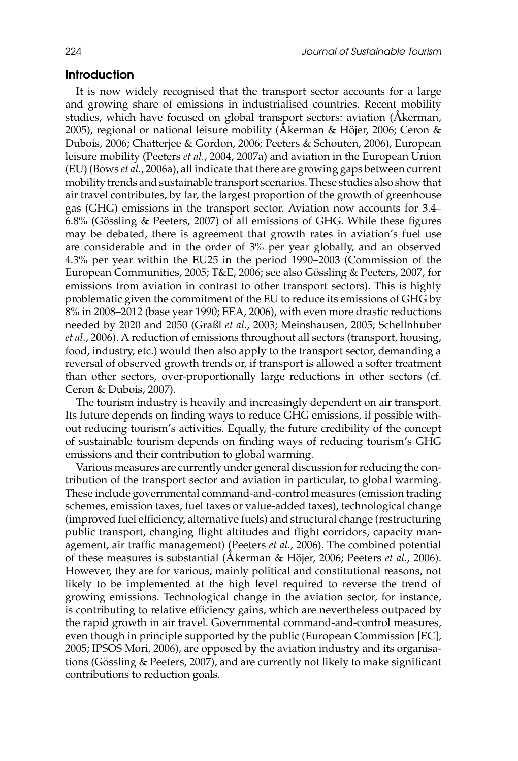## **Introduction**

It is now widely recognised that the transport sector accounts for a large and growing share of emissions in industrialised countries. Recent mobility studies, which have focused on global transport sectors: aviation (Åkerman, 2005), regional or national leisure mobility (Akerman & Höjer, 2006; Ceron & Dubois, 2006; Chatterjee & Gordon, 2006; Peeters & Schouten, 2006), European leisure mobility (Peeters *et al.*, 2004, 2007a) and aviation in the European Union (EU) (Bows *et al.*, 2006a), all indicate that there are growing gaps between current mobility trends and sustainable transport scenarios. These studies also show that air travel contributes, by far, the largest proportion of the growth of greenhouse gas (GHG) emissions in the transport sector. Aviation now accounts for 3.4–  $6.8\%$  (Gössling & Peeters, 2007) of all emissions of GHG. While these figures may be debated, there is agreement that growth rates in aviation's fuel use are considerable and in the order of 3% per year globally, and an observed 4.3% per year within the EU25 in the period 1990–2003 (Commission of the European Communities, 2005; T&E, 2006; see also Gössling & Peeters, 2007, for emissions from aviation in contrast to other transport sectors). This is highly problematic given the commitment of the EU to reduce its emissions of GHG by 8% in 2008–2012 (base year 1990; EEA, 2006), with even more drastic reductions needed by 2020 and 2050 (Graßl *et al.*, 2003; Meinshausen, 2005; Schellnhuber *et al.*, 2006). A reduction of emissions throughout all sectors (transport, housing, food, industry, etc.) would then also apply to the transport sector, demanding a reversal of observed growth trends or, if transport is allowed a softer treatment than other sectors, over-proportionally large reductions in other sectors (cf. Ceron & Dubois, 2007).

The tourism industry is heavily and increasingly dependent on air transport. Its future depends on finding ways to reduce GHG emissions, if possible without reducing tourism's activities. Equally, the future credibility of the concept of sustainable tourism depends on finding ways of reducing tourism's GHG emissions and their contribution to global warming.

Various measures are currently under general discussion for reducing the contribution of the transport sector and aviation in particular, to global warming. These include governmental command-and-control measures (emission trading schemes, emission taxes, fuel taxes or value-added taxes), technological change (improved fuel efficiency, alternative fuels) and structural change (restructuring public transport, changing flight altitudes and flight corridors, capacity management, air traffic management) (Peeters *et al.*, 2006). The combined potential of these measures is substantial (Åkerman & Höjer, 2006; Peeters *et al.*, 2006). However, they are for various, mainly political and constitutional reasons, not likely to be implemented at the high level required to reverse the trend of growing emissions. Technological change in the aviation sector, for instance, is contributing to relative efficiency gains, which are nevertheless outpaced by the rapid growth in air travel. Governmental command-and-control measures, even though in principle supported by the public (European Commission [EC], 2005; IPSOS Mori, 2006), are opposed by the aviation industry and its organisations (Gössling & Peeters, 2007), and are currently not likely to make significant contributions to reduction goals.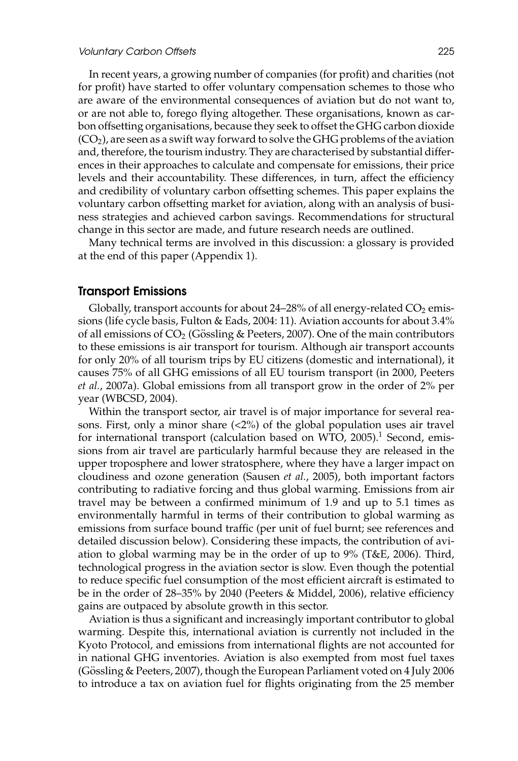In recent years, a growing number of companies (for profit) and charities (not for profit) have started to offer voluntary compensation schemes to those who are aware of the environmental consequences of aviation but do not want to, or are not able to, forego flying altogether. These organisations, known as carbon offsetting organisations, because they seek to offset the GHG carbon dioxide  $(CO<sub>2</sub>)$ , are seen as a swift way forward to solve the GHG problems of the aviation and, therefore, the tourism industry. They are characterised by substantial differences in their approaches to calculate and compensate for emissions, their price levels and their accountability. These differences, in turn, affect the efficiency and credibility of voluntary carbon offsetting schemes. This paper explains the voluntary carbon offsetting market for aviation, along with an analysis of business strategies and achieved carbon savings. Recommendations for structural change in this sector are made, and future research needs are outlined.

Many technical terms are involved in this discussion: a glossary is provided at the end of this paper (Appendix 1).

## **Transport Emissions**

Globally, transport accounts for about 24–28% of all energy-related  $CO<sub>2</sub>$  emissions (life cycle basis, Fulton & Eads, 2004: 11). Aviation accounts for about 3.4% of all emissions of  $CO<sub>2</sub>$  (Gössling & Peeters, 2007). One of the main contributors to these emissions is air transport for tourism. Although air transport accounts for only 20% of all tourism trips by EU citizens (domestic and international), it causes 75% of all GHG emissions of all EU tourism transport (in 2000, Peeters *et al.*, 2007a). Global emissions from all transport grow in the order of 2% per year (WBCSD, 2004).

Within the transport sector, air travel is of major importance for several reasons. First, only a minor share  $\left\langle \langle 2\% \rangle \right\rangle$  of the global population uses air travel for international transport (calculation based on WTO, 2005).<sup>1</sup> Second, emissions from air travel are particularly harmful because they are released in the upper troposphere and lower stratosphere, where they have a larger impact on cloudiness and ozone generation (Sausen *et al.*, 2005), both important factors contributing to radiative forcing and thus global warming. Emissions from air travel may be between a confirmed minimum of 1.9 and up to 5.1 times as environmentally harmful in terms of their contribution to global warming as emissions from surface bound traffic (per unit of fuel burnt; see references and detailed discussion below). Considering these impacts, the contribution of aviation to global warming may be in the order of up to 9% (T&E, 2006). Third, technological progress in the aviation sector is slow. Even though the potential to reduce specific fuel consumption of the most efficient aircraft is estimated to be in the order of 28–35% by 2040 (Peeters & Middel, 2006), relative efficiency gains are outpaced by absolute growth in this sector.

Aviation is thus a significant and increasingly important contributor to global warming. Despite this, international aviation is currently not included in the Kyoto Protocol, and emissions from international flights are not accounted for in national GHG inventories. Aviation is also exempted from most fuel taxes (Gössling & Peeters, 2007), though the European Parliament voted on  $4$  July 2006 to introduce a tax on aviation fuel for flights originating from the 25 member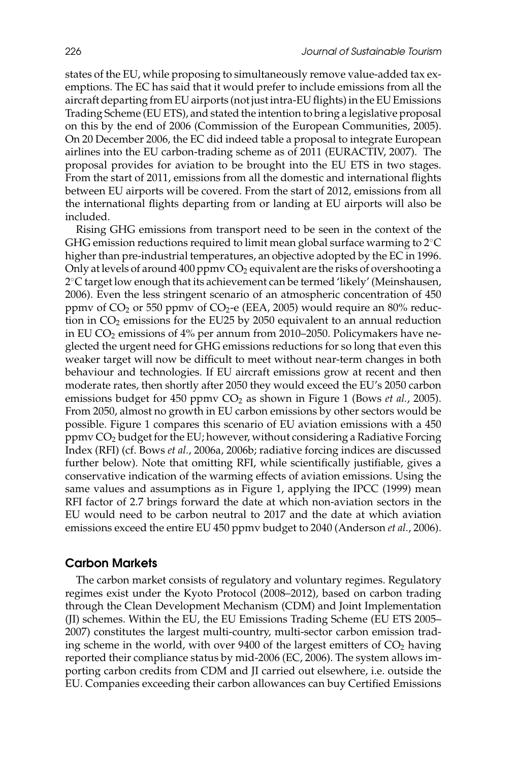states of the EU, while proposing to simultaneously remove value-added tax exemptions. The EC has said that it would prefer to include emissions from all the aircraft departing from EU airports (not just intra-EU flights) in the EU Emissions Trading Scheme (EU ETS), and stated the intention to bring a legislative proposal on this by the end of 2006 (Commission of the European Communities, 2005). On 20 December 2006, the EC did indeed table a proposal to integrate European airlines into the EU carbon-trading scheme as of 2011 (EURACTIV, 2007). The proposal provides for aviation to be brought into the EU ETS in two stages. From the start of 2011, emissions from all the domestic and international flights between EU airports will be covered. From the start of 2012, emissions from all the international flights departing from or landing at EU airports will also be included.

Rising GHG emissions from transport need to be seen in the context of the GHG emission reductions required to limit mean global surface warming to  $2°C$ higher than pre-industrial temperatures, an objective adopted by the EC in 1996. Only at levels of around 400 ppmy  $CO<sub>2</sub>$  equivalent are the risks of overshooting a 2◦C target low enough that its achievement can be termed 'likely' (Meinshausen, 2006). Even the less stringent scenario of an atmospheric concentration of 450 ppmv of  $CO_2$  or 550 ppmv of  $CO_2$ -e (EEA, 2005) would require an 80% reduction in  $CO<sub>2</sub>$  emissions for the EU25 by 2050 equivalent to an annual reduction in EU  $CO<sub>2</sub>$  emissions of 4% per annum from 2010–2050. Policymakers have neglected the urgent need for GHG emissions reductions for so long that even this weaker target will now be difficult to meet without near-term changes in both behaviour and technologies. If EU aircraft emissions grow at recent and then moderate rates, then shortly after 2050 they would exceed the EU's 2050 carbon emissions budget for 450 ppmv CO<sub>2</sub> as shown in Figure 1 (Bows *et al.*, 2005). From 2050, almost no growth in EU carbon emissions by other sectors would be possible. Figure 1 compares this scenario of EU aviation emissions with a 450 ppmv CO2 budget for the EU; however, without considering a Radiative Forcing Index (RFI) (cf. Bows *et al.*, 2006a, 2006b; radiative forcing indices are discussed further below). Note that omitting RFI, while scientifically justifiable, gives a conservative indication of the warming effects of aviation emissions. Using the same values and assumptions as in Figure 1, applying the IPCC (1999) mean RFI factor of 2.7 brings forward the date at which non-aviation sectors in the EU would need to be carbon neutral to 2017 and the date at which aviation emissions exceed the entire EU 450 ppmv budget to 2040 (Anderson *et al.*, 2006).

## **Carbon Markets**

The carbon market consists of regulatory and voluntary regimes. Regulatory regimes exist under the Kyoto Protocol (2008–2012), based on carbon trading through the Clean Development Mechanism (CDM) and Joint Implementation (JI) schemes. Within the EU, the EU Emissions Trading Scheme (EU ETS 2005– 2007) constitutes the largest multi-country, multi-sector carbon emission trading scheme in the world, with over 9400 of the largest emitters of  $CO<sub>2</sub>$  having reported their compliance status by mid-2006 (EC, 2006). The system allows importing carbon credits from CDM and JI carried out elsewhere, i.e. outside the EU. Companies exceeding their carbon allowances can buy Certified Emissions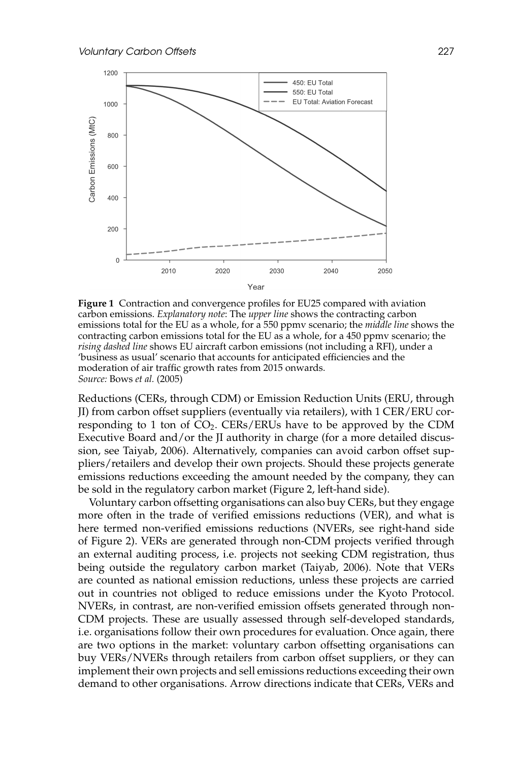

**Figure 1** Contraction and convergence profiles for EU25 compared with aviation carbon emissions. *Explanatory note*: The *upper line* shows the contracting carbon emissions total for the EU as a whole, for a 550 ppmv scenario; the *middle line* shows the contracting carbon emissions total for the EU as a whole, for a 450 ppmv scenario; the *rising dashed line* shows EU aircraft carbon emissions (not including a RFI), under a 'business as usual' scenario that accounts for anticipated efficiencies and the moderation of air traffic growth rates from 2015 onwards. *Source:* Bows *et al.* (2005)

Reductions (CERs, through CDM) or Emission Reduction Units (ERU, through JI) from carbon offset suppliers (eventually via retailers), with 1 CER/ERU corresponding to 1 ton of  $CO<sub>2</sub>$ . CERs/ERUs have to be approved by the CDM Executive Board and/or the JI authority in charge (for a more detailed discussion, see Taiyab, 2006). Alternatively, companies can avoid carbon offset suppliers/retailers and develop their own projects. Should these projects generate emissions reductions exceeding the amount needed by the company, they can be sold in the regulatory carbon market (Figure 2, left-hand side).

Voluntary carbon offsetting organisations can also buy CERs, but they engage more often in the trade of verified emissions reductions (VER), and what is here termed non-verified emissions reductions (NVERs, see right-hand side of Figure 2). VERs are generated through non-CDM projects verified through an external auditing process, i.e. projects not seeking CDM registration, thus being outside the regulatory carbon market (Taiyab, 2006). Note that VERs are counted as national emission reductions, unless these projects are carried out in countries not obliged to reduce emissions under the Kyoto Protocol. NVERs, in contrast, are non-verified emission offsets generated through non-CDM projects. These are usually assessed through self-developed standards, i.e. organisations follow their own procedures for evaluation. Once again, there are two options in the market: voluntary carbon offsetting organisations can buy VERs/NVERs through retailers from carbon offset suppliers, or they can implement their own projects and sell emissions reductions exceeding their own demand to other organisations. Arrow directions indicate that CERs, VERs and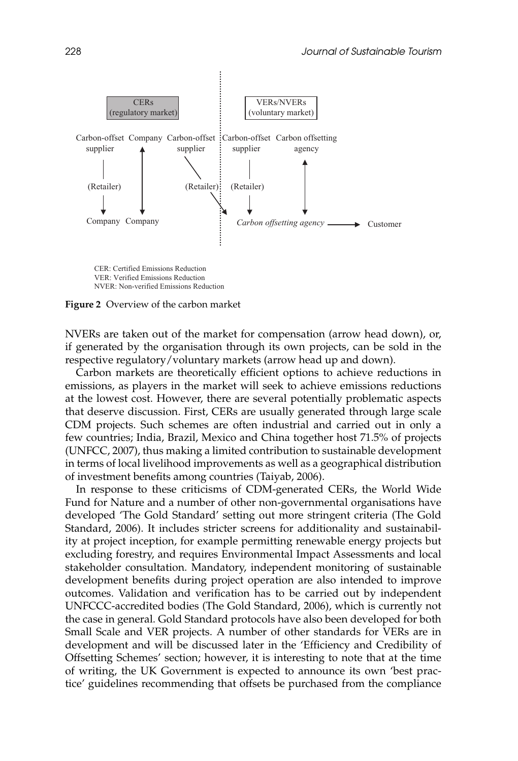

**Figure 2** Overview of the carbon market

NVERs are taken out of the market for compensation (arrow head down), or, if generated by the organisation through its own projects, can be sold in the respective regulatory/voluntary markets (arrow head up and down).

Carbon markets are theoretically efficient options to achieve reductions in emissions, as players in the market will seek to achieve emissions reductions at the lowest cost. However, there are several potentially problematic aspects that deserve discussion. First, CERs are usually generated through large scale CDM projects. Such schemes are often industrial and carried out in only a few countries; India, Brazil, Mexico and China together host 71.5% of projects (UNFCC, 2007), thus making a limited contribution to sustainable development in terms of local livelihood improvements as well as a geographical distribution of investment benefits among countries (Taiyab, 2006).

In response to these criticisms of CDM-generated CERs, the World Wide Fund for Nature and a number of other non-governmental organisations have developed 'The Gold Standard' setting out more stringent criteria (The Gold Standard, 2006). It includes stricter screens for additionality and sustainability at project inception, for example permitting renewable energy projects but excluding forestry, and requires Environmental Impact Assessments and local stakeholder consultation. Mandatory, independent monitoring of sustainable development benefits during project operation are also intended to improve outcomes. Validation and verification has to be carried out by independent UNFCCC-accredited bodies (The Gold Standard, 2006), which is currently not the case in general. Gold Standard protocols have also been developed for both Small Scale and VER projects. A number of other standards for VERs are in development and will be discussed later in the 'Efficiency and Credibility of Offsetting Schemes' section; however, it is interesting to note that at the time of writing, the UK Government is expected to announce its own 'best practice' guidelines recommending that offsets be purchased from the compliance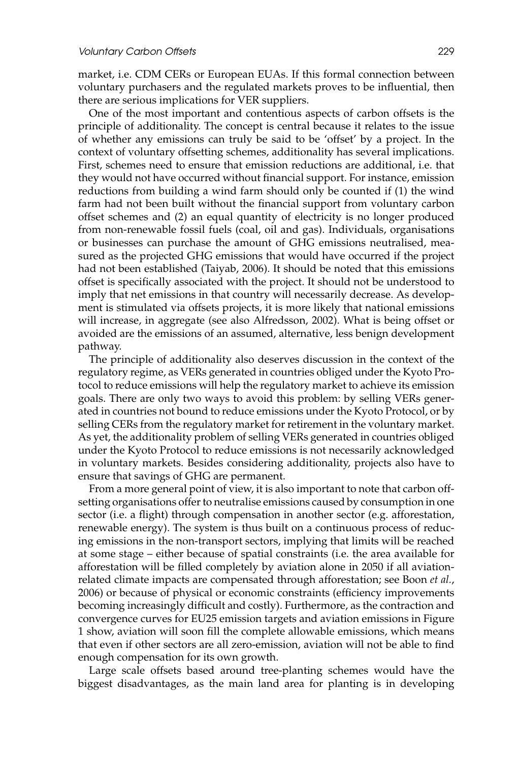market, i.e. CDM CERs or European EUAs. If this formal connection between voluntary purchasers and the regulated markets proves to be influential, then there are serious implications for VER suppliers.

One of the most important and contentious aspects of carbon offsets is the principle of additionality. The concept is central because it relates to the issue of whether any emissions can truly be said to be 'offset' by a project. In the context of voluntary offsetting schemes, additionality has several implications. First, schemes need to ensure that emission reductions are additional, i.e. that they would not have occurred without financial support. For instance, emission reductions from building a wind farm should only be counted if (1) the wind farm had not been built without the financial support from voluntary carbon offset schemes and (2) an equal quantity of electricity is no longer produced from non-renewable fossil fuels (coal, oil and gas). Individuals, organisations or businesses can purchase the amount of GHG emissions neutralised, measured as the projected GHG emissions that would have occurred if the project had not been established (Taiyab, 2006). It should be noted that this emissions offset is specifically associated with the project. It should not be understood to imply that net emissions in that country will necessarily decrease. As development is stimulated via offsets projects, it is more likely that national emissions will increase, in aggregate (see also Alfredsson, 2002). What is being offset or avoided are the emissions of an assumed, alternative, less benign development pathway.

The principle of additionality also deserves discussion in the context of the regulatory regime, as VERs generated in countries obliged under the Kyoto Protocol to reduce emissions will help the regulatory market to achieve its emission goals. There are only two ways to avoid this problem: by selling VERs generated in countries not bound to reduce emissions under the Kyoto Protocol, or by selling CERs from the regulatory market for retirement in the voluntary market. As yet, the additionality problem of selling VERs generated in countries obliged under the Kyoto Protocol to reduce emissions is not necessarily acknowledged in voluntary markets. Besides considering additionality, projects also have to ensure that savings of GHG are permanent.

From a more general point of view, it is also important to note that carbon offsetting organisations offer to neutralise emissions caused by consumption in one sector (i.e. a flight) through compensation in another sector (e.g. afforestation, renewable energy). The system is thus built on a continuous process of reducing emissions in the non-transport sectors, implying that limits will be reached at some stage – either because of spatial constraints (i.e. the area available for afforestation will be filled completely by aviation alone in 2050 if all aviationrelated climate impacts are compensated through afforestation; see Boon *et al.*, 2006) or because of physical or economic constraints (efficiency improvements becoming increasingly difficult and costly). Furthermore, as the contraction and convergence curves for EU25 emission targets and aviation emissions in Figure 1 show, aviation will soon fill the complete allowable emissions, which means that even if other sectors are all zero-emission, aviation will not be able to find enough compensation for its own growth.

Large scale offsets based around tree-planting schemes would have the biggest disadvantages, as the main land area for planting is in developing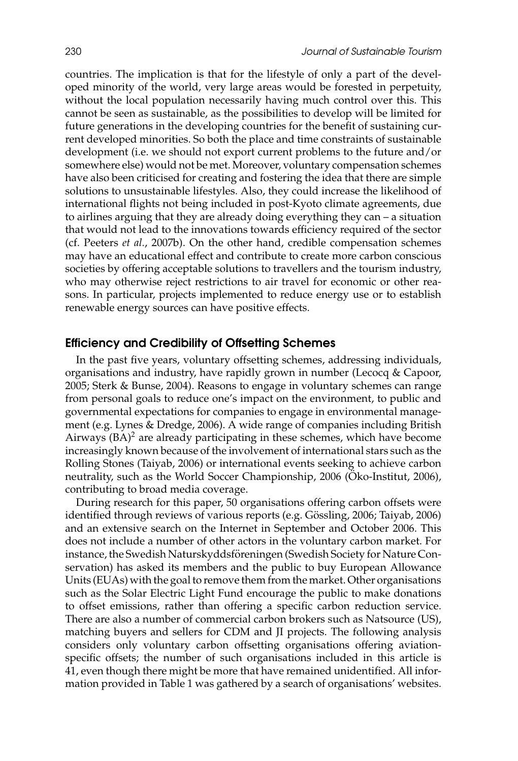countries. The implication is that for the lifestyle of only a part of the developed minority of the world, very large areas would be forested in perpetuity, without the local population necessarily having much control over this. This cannot be seen as sustainable, as the possibilities to develop will be limited for future generations in the developing countries for the benefit of sustaining current developed minorities. So both the place and time constraints of sustainable development (i.e. we should not export current problems to the future and/or somewhere else) would not be met. Moreover, voluntary compensation schemes have also been criticised for creating and fostering the idea that there are simple solutions to unsustainable lifestyles. Also, they could increase the likelihood of international flights not being included in post-Kyoto climate agreements, due to airlines arguing that they are already doing everything they can – a situation that would not lead to the innovations towards efficiency required of the sector (cf. Peeters *et al.*, 2007b). On the other hand, credible compensation schemes may have an educational effect and contribute to create more carbon conscious societies by offering acceptable solutions to travellers and the tourism industry, who may otherwise reject restrictions to air travel for economic or other reasons. In particular, projects implemented to reduce energy use or to establish renewable energy sources can have positive effects.

# **Efficiency and Credibility of Offsetting Schemes**

In the past five years, voluntary offsetting schemes, addressing individuals, organisations and industry, have rapidly grown in number (Lecocq & Capoor, 2005; Sterk & Bunse, 2004). Reasons to engage in voluntary schemes can range from personal goals to reduce one's impact on the environment, to public and governmental expectations for companies to engage in environmental management (e.g. Lynes & Dredge, 2006). A wide range of companies including British Airways  $(BA)^2$  are already participating in these schemes, which have become increasingly known because of the involvement of international stars such as the Rolling Stones (Taiyab, 2006) or international events seeking to achieve carbon neutrality, such as the World Soccer Championship, 2006 (Öko-Institut, 2006), contributing to broad media coverage.

During research for this paper, 50 organisations offering carbon offsets were identified through reviews of various reports (e.g. Gössling, 2006; Taiyab, 2006) and an extensive search on the Internet in September and October 2006. This does not include a number of other actors in the voluntary carbon market. For instance, the Swedish Naturskyddsföreningen (Swedish Society for Nature Conservation) has asked its members and the public to buy European Allowance Units (EUAs) with the goal to remove them from the market. Other organisations such as the Solar Electric Light Fund encourage the public to make donations to offset emissions, rather than offering a specific carbon reduction service. There are also a number of commercial carbon brokers such as Natsource (US), matching buyers and sellers for CDM and JI projects. The following analysis considers only voluntary carbon offsetting organisations offering aviationspecific offsets; the number of such organisations included in this article is 41, even though there might be more that have remained unidentified. All information provided in Table 1 was gathered by a search of organisations' websites.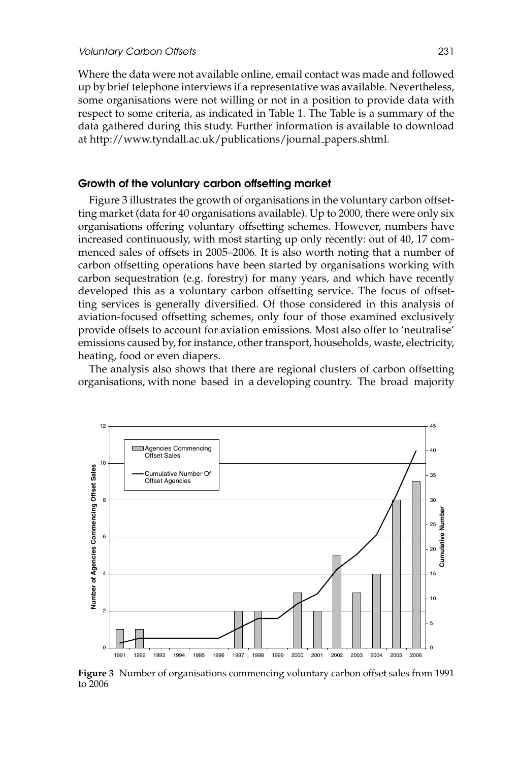Where the data were not available online, email contact was made and followed up by brief telephone interviews if a representative was available. Nevertheless, some organisations were not willing or not in a position to provide data with respect to some criteria, as indicated in Table 1. The Table is a summary of the data gathered during this study. Further information is available to download at http://www.tyndall.ac.uk/publications/journal papers.shtml.

#### **Growth of the voluntary carbon offsetting market**

Figure 3 illustrates the growth of organisations in the voluntary carbon offsetting market (data for 40 organisations available). Up to 2000, there were only six organisations offering voluntary offsetting schemes. However, numbers have increased continuously, with most starting up only recently: out of 40, 17 commenced sales of offsets in 2005–2006. It is also worth noting that a number of carbon offsetting operations have been started by organisations working with carbon sequestration (e.g. forestry) for many years, and which have recently developed this as a voluntary carbon offsetting service. The focus of offsetting services is generally diversified. Of those considered in this analysis of aviation-focused offsetting schemes, only four of those examined exclusively provide offsets to account for aviation emissions. Most also offer to 'neutralise' emissions caused by, for instance, other transport, households, waste, electricity, heating, food or even diapers.

The analysis also shows that there are regional clusters of carbon offsetting organisations, with none based in a developing country. The broad majority



**Figure 3** Number of organisations commencing voluntary carbon offset sales from 1991 to 2006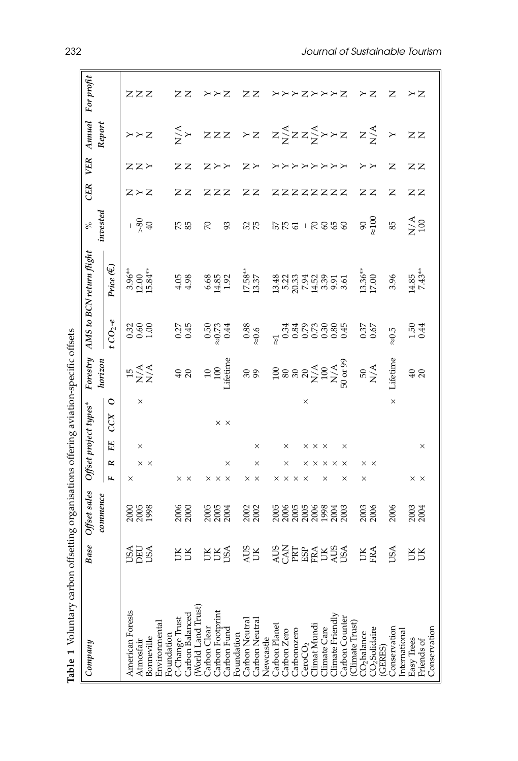| くりせん りょうりょう きんこう こうしょう うちょうしょく<br>ı              |
|--------------------------------------------------|
|                                                  |
|                                                  |
| とうしょうじょうしょう しょうし しょうし しょくしょう ちょうきょう こうしょう<br>ׇ֚֘ |
|                                                  |
|                                                  |
| j                                                |
| $\ddot{\phantom{0}}$<br>-<br>F                   |

| ZZZ<br>ZZ<br>メメス<br>Z<br>$\succ$ $\mathop{\rm \mathsf{Z}}$<br>zz<br>メメスススス<br>≻z<br>Report<br>$\frac{4}{5}$ $\times$<br>$\overline{z}$ z z z $\overline{z}$ $\overline{z}$ $\overline{z}$ $\overline{z}$<br>$Z_{\Sigma}^{\mathcal{A}}$<br>ZZZ<br>$\geq$<br>$\mathord{\succ} \mathord{\succ} \mathord{\succ} \mathord{\simeq}$<br>ZZ<br>$\mathsf{z}$<br>$\stackrel{\textstyle >}{\sim} \stackrel{\textstyle >}{\sim}$<br>ZZ<br>$Z \succ$<br>ZZ<br>スンン<br>ススススススス<br>$\mathord{\succ} \mathord{\succ}$<br>$Z \geq Z$<br>$\mathsf{z}$<br>ZZ<br>zzz<br>ZZ<br><b>ZZZZZZZZ</b><br>ZZ<br>ZZ<br>invested<br>$\frac{90}{8}$<br>$_{100}^{1\rm A}$<br>। % ਹੈ<br>85<br><b>R</b> \$<br>$BKG$ $RG8G$<br>R<br>93<br>52<br>15<br>Price $(\in)$<br>$\begin{array}{c} 3.96^{**} \\ 12.00 \\ 15.84^{**} \end{array}$<br>$13.36**$<br>17.00<br>$14.85$<br>7.43**<br>$17.58^{\ast\ast}$ 13.37<br>3.96<br>4.98<br>$6.68$<br>14.85<br>1.92<br>t $CO2-e$<br>$0.32$<br>$0.60$<br>$1.00$<br>$0.27$<br>$0.45$<br>$\begin{array}{c} 0.88 \\ -0.6 \end{array}$<br>$0.37$<br>0.67<br>$1.50$<br>0.44<br>$0.50$<br>$9.74$<br>$\approx 0.5$<br>Lifetime<br>horizon<br>$\begin{array}{c} 10 \\ 100 \\ \mathrm{Lifetime} \end{array}$<br>$_{\rm 50}^{\rm 50}$<br>$\frac{15}{N/A}$ N/A<br>$\frac{40}{20}$<br>$66\,$<br>$\frac{1}{2}$<br>$\circ$<br>$\times$<br>×<br>×<br>CCX<br>$\times~\times$<br>EE<br>$\times$<br>$\times$<br>×<br>×<br>$\times$ $\times$ $\times$<br>×<br>ĸ<br>$\times$ $\times$<br>×<br>$\times$<br>$\times$<br>$\times~\times$<br>×<br>$\times$<br>$\times$<br>$\overline{\mathbf{L}}$<br>$\times$<br>$\times$ $\times$<br>$\times$ $\times$ $\times$<br>× ×<br>$\times$ $\times$ $\times$ $\times$<br>×<br>×<br>$\times$<br>$\times~\times$<br>commence<br>2005<br>2005<br>1998<br>2006<br>2003<br>2004<br>2006<br>2002<br>2002<br>2003<br>2006<br>2005<br>2005<br>2004<br><b>ASK EREN SES</b><br>$\frac{\text{AUS}}{\text{UK}}$<br><b>USA<br/>UBLI<br/>USA</b><br>BZ<br>USA<br>ŠŠ<br><b>UK</b><br><b>NK</b><br>Carbon Balanced<br>(World Land Trust)<br>American Forests<br>Carbon Footprint<br>Climate Friendly<br>Carbon Counter<br>C-Change Trust<br>Carbon Neutral<br>Carbon Neutral<br>Environmental<br>(Climate Trust)<br>Carbon Planet<br>Climat Mund<br>Conservation<br>Conservation<br>Carbon Clear<br>CO <sub>2</sub> balance<br>CO <sub>2</sub> Solidaire<br>Carbonozero<br>Climate Care<br>Carbon Fund<br>Carbon Zero<br>International<br>Foundation<br>Foundation<br>Bonneville<br>Newcastle<br>Easy Trees<br>Atmosfair<br>Friends of<br>CeroCO <sub>2</sub><br>(GERES) | Company | Base | Offset sales |  | Offset project types* | Forestry | AMS to BCN return flight | $\%$ | <b>CER</b> |  | VER Annual For profit |
|--------------------------------------------------------------------------------------------------------------------------------------------------------------------------------------------------------------------------------------------------------------------------------------------------------------------------------------------------------------------------------------------------------------------------------------------------------------------------------------------------------------------------------------------------------------------------------------------------------------------------------------------------------------------------------------------------------------------------------------------------------------------------------------------------------------------------------------------------------------------------------------------------------------------------------------------------------------------------------------------------------------------------------------------------------------------------------------------------------------------------------------------------------------------------------------------------------------------------------------------------------------------------------------------------------------------------------------------------------------------------------------------------------------------------------------------------------------------------------------------------------------------------------------------------------------------------------------------------------------------------------------------------------------------------------------------------------------------------------------------------------------------------------------------------------------------------------------------------------------------------------------------------------------------------------------------------------------------------------------------------------------------------------------------------------------------------------------------------------------------------------------------------------------------------------------------------------------------------------------------------------------------------------------------------------------------------------------------------------------------------------------------------------------------------------------------------------------------------------------------------------------------------------------------------------------------------|---------|------|--------------|--|-----------------------|----------|--------------------------|------|------------|--|-----------------------|
|                                                                                                                                                                                                                                                                                                                                                                                                                                                                                                                                                                                                                                                                                                                                                                                                                                                                                                                                                                                                                                                                                                                                                                                                                                                                                                                                                                                                                                                                                                                                                                                                                                                                                                                                                                                                                                                                                                                                                                                                                                                                                                                                                                                                                                                                                                                                                                                                                                                                                                                                                                          |         |      |              |  |                       |          |                          |      |            |  |                       |
|                                                                                                                                                                                                                                                                                                                                                                                                                                                                                                                                                                                                                                                                                                                                                                                                                                                                                                                                                                                                                                                                                                                                                                                                                                                                                                                                                                                                                                                                                                                                                                                                                                                                                                                                                                                                                                                                                                                                                                                                                                                                                                                                                                                                                                                                                                                                                                                                                                                                                                                                                                          |         |      |              |  |                       |          |                          |      |            |  |                       |
|                                                                                                                                                                                                                                                                                                                                                                                                                                                                                                                                                                                                                                                                                                                                                                                                                                                                                                                                                                                                                                                                                                                                                                                                                                                                                                                                                                                                                                                                                                                                                                                                                                                                                                                                                                                                                                                                                                                                                                                                                                                                                                                                                                                                                                                                                                                                                                                                                                                                                                                                                                          |         |      |              |  |                       |          |                          |      |            |  |                       |
|                                                                                                                                                                                                                                                                                                                                                                                                                                                                                                                                                                                                                                                                                                                                                                                                                                                                                                                                                                                                                                                                                                                                                                                                                                                                                                                                                                                                                                                                                                                                                                                                                                                                                                                                                                                                                                                                                                                                                                                                                                                                                                                                                                                                                                                                                                                                                                                                                                                                                                                                                                          |         |      |              |  |                       |          |                          |      |            |  |                       |
|                                                                                                                                                                                                                                                                                                                                                                                                                                                                                                                                                                                                                                                                                                                                                                                                                                                                                                                                                                                                                                                                                                                                                                                                                                                                                                                                                                                                                                                                                                                                                                                                                                                                                                                                                                                                                                                                                                                                                                                                                                                                                                                                                                                                                                                                                                                                                                                                                                                                                                                                                                          |         |      |              |  |                       |          |                          |      |            |  |                       |
|                                                                                                                                                                                                                                                                                                                                                                                                                                                                                                                                                                                                                                                                                                                                                                                                                                                                                                                                                                                                                                                                                                                                                                                                                                                                                                                                                                                                                                                                                                                                                                                                                                                                                                                                                                                                                                                                                                                                                                                                                                                                                                                                                                                                                                                                                                                                                                                                                                                                                                                                                                          |         |      |              |  |                       |          |                          |      |            |  |                       |
|                                                                                                                                                                                                                                                                                                                                                                                                                                                                                                                                                                                                                                                                                                                                                                                                                                                                                                                                                                                                                                                                                                                                                                                                                                                                                                                                                                                                                                                                                                                                                                                                                                                                                                                                                                                                                                                                                                                                                                                                                                                                                                                                                                                                                                                                                                                                                                                                                                                                                                                                                                          |         |      |              |  |                       |          |                          |      |            |  |                       |
|                                                                                                                                                                                                                                                                                                                                                                                                                                                                                                                                                                                                                                                                                                                                                                                                                                                                                                                                                                                                                                                                                                                                                                                                                                                                                                                                                                                                                                                                                                                                                                                                                                                                                                                                                                                                                                                                                                                                                                                                                                                                                                                                                                                                                                                                                                                                                                                                                                                                                                                                                                          |         |      |              |  |                       |          |                          |      |            |  |                       |
|                                                                                                                                                                                                                                                                                                                                                                                                                                                                                                                                                                                                                                                                                                                                                                                                                                                                                                                                                                                                                                                                                                                                                                                                                                                                                                                                                                                                                                                                                                                                                                                                                                                                                                                                                                                                                                                                                                                                                                                                                                                                                                                                                                                                                                                                                                                                                                                                                                                                                                                                                                          |         |      |              |  |                       |          |                          |      |            |  |                       |
|                                                                                                                                                                                                                                                                                                                                                                                                                                                                                                                                                                                                                                                                                                                                                                                                                                                                                                                                                                                                                                                                                                                                                                                                                                                                                                                                                                                                                                                                                                                                                                                                                                                                                                                                                                                                                                                                                                                                                                                                                                                                                                                                                                                                                                                                                                                                                                                                                                                                                                                                                                          |         |      |              |  |                       |          |                          |      |            |  |                       |
|                                                                                                                                                                                                                                                                                                                                                                                                                                                                                                                                                                                                                                                                                                                                                                                                                                                                                                                                                                                                                                                                                                                                                                                                                                                                                                                                                                                                                                                                                                                                                                                                                                                                                                                                                                                                                                                                                                                                                                                                                                                                                                                                                                                                                                                                                                                                                                                                                                                                                                                                                                          |         |      |              |  |                       |          |                          |      |            |  |                       |
|                                                                                                                                                                                                                                                                                                                                                                                                                                                                                                                                                                                                                                                                                                                                                                                                                                                                                                                                                                                                                                                                                                                                                                                                                                                                                                                                                                                                                                                                                                                                                                                                                                                                                                                                                                                                                                                                                                                                                                                                                                                                                                                                                                                                                                                                                                                                                                                                                                                                                                                                                                          |         |      |              |  |                       |          |                          |      |            |  |                       |
|                                                                                                                                                                                                                                                                                                                                                                                                                                                                                                                                                                                                                                                                                                                                                                                                                                                                                                                                                                                                                                                                                                                                                                                                                                                                                                                                                                                                                                                                                                                                                                                                                                                                                                                                                                                                                                                                                                                                                                                                                                                                                                                                                                                                                                                                                                                                                                                                                                                                                                                                                                          |         |      |              |  |                       |          |                          |      |            |  |                       |
|                                                                                                                                                                                                                                                                                                                                                                                                                                                                                                                                                                                                                                                                                                                                                                                                                                                                                                                                                                                                                                                                                                                                                                                                                                                                                                                                                                                                                                                                                                                                                                                                                                                                                                                                                                                                                                                                                                                                                                                                                                                                                                                                                                                                                                                                                                                                                                                                                                                                                                                                                                          |         |      |              |  |                       |          |                          |      |            |  |                       |
|                                                                                                                                                                                                                                                                                                                                                                                                                                                                                                                                                                                                                                                                                                                                                                                                                                                                                                                                                                                                                                                                                                                                                                                                                                                                                                                                                                                                                                                                                                                                                                                                                                                                                                                                                                                                                                                                                                                                                                                                                                                                                                                                                                                                                                                                                                                                                                                                                                                                                                                                                                          |         |      |              |  |                       |          |                          |      |            |  |                       |
|                                                                                                                                                                                                                                                                                                                                                                                                                                                                                                                                                                                                                                                                                                                                                                                                                                                                                                                                                                                                                                                                                                                                                                                                                                                                                                                                                                                                                                                                                                                                                                                                                                                                                                                                                                                                                                                                                                                                                                                                                                                                                                                                                                                                                                                                                                                                                                                                                                                                                                                                                                          |         |      |              |  |                       |          |                          |      |            |  |                       |
|                                                                                                                                                                                                                                                                                                                                                                                                                                                                                                                                                                                                                                                                                                                                                                                                                                                                                                                                                                                                                                                                                                                                                                                                                                                                                                                                                                                                                                                                                                                                                                                                                                                                                                                                                                                                                                                                                                                                                                                                                                                                                                                                                                                                                                                                                                                                                                                                                                                                                                                                                                          |         |      |              |  |                       |          |                          |      |            |  |                       |
|                                                                                                                                                                                                                                                                                                                                                                                                                                                                                                                                                                                                                                                                                                                                                                                                                                                                                                                                                                                                                                                                                                                                                                                                                                                                                                                                                                                                                                                                                                                                                                                                                                                                                                                                                                                                                                                                                                                                                                                                                                                                                                                                                                                                                                                                                                                                                                                                                                                                                                                                                                          |         |      |              |  |                       |          |                          |      |            |  |                       |
|                                                                                                                                                                                                                                                                                                                                                                                                                                                                                                                                                                                                                                                                                                                                                                                                                                                                                                                                                                                                                                                                                                                                                                                                                                                                                                                                                                                                                                                                                                                                                                                                                                                                                                                                                                                                                                                                                                                                                                                                                                                                                                                                                                                                                                                                                                                                                                                                                                                                                                                                                                          |         |      |              |  |                       |          |                          |      |            |  |                       |
|                                                                                                                                                                                                                                                                                                                                                                                                                                                                                                                                                                                                                                                                                                                                                                                                                                                                                                                                                                                                                                                                                                                                                                                                                                                                                                                                                                                                                                                                                                                                                                                                                                                                                                                                                                                                                                                                                                                                                                                                                                                                                                                                                                                                                                                                                                                                                                                                                                                                                                                                                                          |         |      |              |  |                       |          |                          |      |            |  |                       |
|                                                                                                                                                                                                                                                                                                                                                                                                                                                                                                                                                                                                                                                                                                                                                                                                                                                                                                                                                                                                                                                                                                                                                                                                                                                                                                                                                                                                                                                                                                                                                                                                                                                                                                                                                                                                                                                                                                                                                                                                                                                                                                                                                                                                                                                                                                                                                                                                                                                                                                                                                                          |         |      |              |  |                       |          |                          |      |            |  |                       |
|                                                                                                                                                                                                                                                                                                                                                                                                                                                                                                                                                                                                                                                                                                                                                                                                                                                                                                                                                                                                                                                                                                                                                                                                                                                                                                                                                                                                                                                                                                                                                                                                                                                                                                                                                                                                                                                                                                                                                                                                                                                                                                                                                                                                                                                                                                                                                                                                                                                                                                                                                                          |         |      |              |  |                       |          |                          |      |            |  |                       |
|                                                                                                                                                                                                                                                                                                                                                                                                                                                                                                                                                                                                                                                                                                                                                                                                                                                                                                                                                                                                                                                                                                                                                                                                                                                                                                                                                                                                                                                                                                                                                                                                                                                                                                                                                                                                                                                                                                                                                                                                                                                                                                                                                                                                                                                                                                                                                                                                                                                                                                                                                                          |         |      |              |  |                       |          |                          |      |            |  |                       |
|                                                                                                                                                                                                                                                                                                                                                                                                                                                                                                                                                                                                                                                                                                                                                                                                                                                                                                                                                                                                                                                                                                                                                                                                                                                                                                                                                                                                                                                                                                                                                                                                                                                                                                                                                                                                                                                                                                                                                                                                                                                                                                                                                                                                                                                                                                                                                                                                                                                                                                                                                                          |         |      |              |  |                       |          |                          |      |            |  |                       |
|                                                                                                                                                                                                                                                                                                                                                                                                                                                                                                                                                                                                                                                                                                                                                                                                                                                                                                                                                                                                                                                                                                                                                                                                                                                                                                                                                                                                                                                                                                                                                                                                                                                                                                                                                                                                                                                                                                                                                                                                                                                                                                                                                                                                                                                                                                                                                                                                                                                                                                                                                                          |         |      |              |  |                       |          |                          |      |            |  |                       |
|                                                                                                                                                                                                                                                                                                                                                                                                                                                                                                                                                                                                                                                                                                                                                                                                                                                                                                                                                                                                                                                                                                                                                                                                                                                                                                                                                                                                                                                                                                                                                                                                                                                                                                                                                                                                                                                                                                                                                                                                                                                                                                                                                                                                                                                                                                                                                                                                                                                                                                                                                                          |         |      |              |  |                       |          |                          |      |            |  |                       |
|                                                                                                                                                                                                                                                                                                                                                                                                                                                                                                                                                                                                                                                                                                                                                                                                                                                                                                                                                                                                                                                                                                                                                                                                                                                                                                                                                                                                                                                                                                                                                                                                                                                                                                                                                                                                                                                                                                                                                                                                                                                                                                                                                                                                                                                                                                                                                                                                                                                                                                                                                                          |         |      |              |  |                       |          |                          |      |            |  |                       |
|                                                                                                                                                                                                                                                                                                                                                                                                                                                                                                                                                                                                                                                                                                                                                                                                                                                                                                                                                                                                                                                                                                                                                                                                                                                                                                                                                                                                                                                                                                                                                                                                                                                                                                                                                                                                                                                                                                                                                                                                                                                                                                                                                                                                                                                                                                                                                                                                                                                                                                                                                                          |         |      |              |  |                       |          |                          |      |            |  |                       |
|                                                                                                                                                                                                                                                                                                                                                                                                                                                                                                                                                                                                                                                                                                                                                                                                                                                                                                                                                                                                                                                                                                                                                                                                                                                                                                                                                                                                                                                                                                                                                                                                                                                                                                                                                                                                                                                                                                                                                                                                                                                                                                                                                                                                                                                                                                                                                                                                                                                                                                                                                                          |         |      |              |  |                       |          |                          |      |            |  |                       |
|                                                                                                                                                                                                                                                                                                                                                                                                                                                                                                                                                                                                                                                                                                                                                                                                                                                                                                                                                                                                                                                                                                                                                                                                                                                                                                                                                                                                                                                                                                                                                                                                                                                                                                                                                                                                                                                                                                                                                                                                                                                                                                                                                                                                                                                                                                                                                                                                                                                                                                                                                                          |         |      |              |  |                       |          |                          |      |            |  |                       |
|                                                                                                                                                                                                                                                                                                                                                                                                                                                                                                                                                                                                                                                                                                                                                                                                                                                                                                                                                                                                                                                                                                                                                                                                                                                                                                                                                                                                                                                                                                                                                                                                                                                                                                                                                                                                                                                                                                                                                                                                                                                                                                                                                                                                                                                                                                                                                                                                                                                                                                                                                                          |         |      |              |  |                       |          |                          |      |            |  |                       |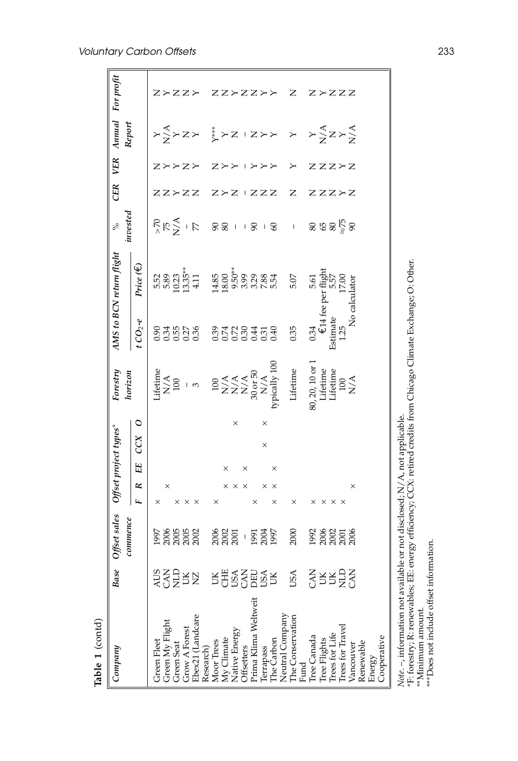Table 1 (contd)

| CER<br>ZZ>ZZ Z>ZIZZZ Z ZZZ>Z<br>$\emph{invested}$<br>$\frac{6}{6}$<br>AMS to BCN return flight<br>Price $(\in)$<br>5.52<br>5.89<br>5.89<br>5.89<br>5.89<br>10.23<br>10.35<br>4<br>10.35<br>4<br>13.55<br>4<br>13.55<br>4<br>13.55<br>41<br>13.55<br>4.11<br>13.55<br>4.11<br>9.50<br>9.50<br>9.50<br>5.50<br>5.50<br>5.50<br>5.50<br>5.50<br>5.50<br>5.50<br>5.50<br>5.50<br>5.50<br>5.50<br>5.50<br>5.50<br>5.50<br>5.50<br><br>t CO <sub>2</sub> -e<br>Lifetime $N/A$<br>$N/A$<br>$N/A$<br>$N/A$<br>$N/A$<br>$N/A$<br>$N/A$<br>$N/A$<br>$N/A$<br>$N/A$<br>$N/A$<br>$N/A$<br>$N/A$<br>Lifetime Lifetime<br>Lifetime Lifetime Day (100 $N$ )<br>$N$<br>Lifetime Day (100 $N$ )<br>$N$<br>Lifetime Day (100 $N$ )<br>$N/A$<br>$\label{eq:1} \small \textit{Forestry}$<br>horizon<br>$\circ$<br>×<br>$\times$<br>Offset project types $^\ast$<br>CCX<br>$\times$<br>EE<br>$\times$<br>$\times$<br>$\times$<br>$\approx$<br>$\times$ $\times$ $\times$<br>$\times$<br>$\times$<br>$\times$<br>$\times$<br>$\mathbf{L}$<br>$\times$<br>$\times$ $\times$ $\times$<br>$\times$<br>$\times$<br>$\mathsf{X}$<br>$\times$ $\times$ $\times$ $\times$<br>$\times$<br>Offset sales<br>commence<br>58558 8855 5356 8 8865<br>28888 8888 2882 8 28888<br>Base<br><b>ARREA</b><br><b>ASARA</b><br>SER<br><b>RESSESS</b><br>ĴЗÁ<br>Grow A Forest<br>Ebex21 (Landcare<br>Green My Flight<br>Green Seat<br>Trees for Travel<br>Tree Flights<br>Trees for Life<br>Tree Canada<br>Green Fleet<br>Renewable<br>Vancouver<br>Company<br>Energy<br>Fund | Table 1 (contd) |  |  |  |  |  |              |                                                                                                                                                                                                                                                                                                                                                                                                                                                                                                         |                       |
|------------------------------------------------------------------------------------------------------------------------------------------------------------------------------------------------------------------------------------------------------------------------------------------------------------------------------------------------------------------------------------------------------------------------------------------------------------------------------------------------------------------------------------------------------------------------------------------------------------------------------------------------------------------------------------------------------------------------------------------------------------------------------------------------------------------------------------------------------------------------------------------------------------------------------------------------------------------------------------------------------------------------------------------------------------------------------------------------------------------------------------------------------------------------------------------------------------------------------------------------------------------------------------------------------------------------------------------------------------------------------------------------------------------------------------------------------------------------------------------------------------------------------------|-----------------|--|--|--|--|--|--------------|---------------------------------------------------------------------------------------------------------------------------------------------------------------------------------------------------------------------------------------------------------------------------------------------------------------------------------------------------------------------------------------------------------------------------------------------------------------------------------------------------------|-----------------------|
|                                                                                                                                                                                                                                                                                                                                                                                                                                                                                                                                                                                                                                                                                                                                                                                                                                                                                                                                                                                                                                                                                                                                                                                                                                                                                                                                                                                                                                                                                                                                    |                 |  |  |  |  |  | VER          | Annual<br>Report                                                                                                                                                                                                                                                                                                                                                                                                                                                                                        | For profit            |
| Research)<br>Moor Trees                                                                                                                                                                                                                                                                                                                                                                                                                                                                                                                                                                                                                                                                                                                                                                                                                                                                                                                                                                                                                                                                                                                                                                                                                                                                                                                                                                                                                                                                                                            |                 |  |  |  |  |  |              |                                                                                                                                                                                                                                                                                                                                                                                                                                                                                                         |                       |
|                                                                                                                                                                                                                                                                                                                                                                                                                                                                                                                                                                                                                                                                                                                                                                                                                                                                                                                                                                                                                                                                                                                                                                                                                                                                                                                                                                                                                                                                                                                                    |                 |  |  |  |  |  |              | $\left  \times \sum_{\alpha}^{p} \times \sum_{\beta}^{p} \times \sum_{\beta}^{p} \times \sum_{\alpha}^{p} \times \sum_{\alpha}^{p} \times \sum_{\beta}^{p} \times \sum_{\beta}^{p} \times \sum_{\beta}^{p} \times \sum_{\beta}^{p} \times \sum_{\beta}^{p} \times \sum_{\beta}^{p} \times \sum_{\beta}^{p} \times \sum_{\beta}^{p} \times \sum_{\beta}^{p} \times \sum_{\beta}^{p} \times \sum_{\beta}^{p} \times \sum_{\beta}^{p} \times \sum_{\beta}^{p} \times \sum_{\beta}^{p} \times \sum_{\beta}$ |                       |
|                                                                                                                                                                                                                                                                                                                                                                                                                                                                                                                                                                                                                                                                                                                                                                                                                                                                                                                                                                                                                                                                                                                                                                                                                                                                                                                                                                                                                                                                                                                                    |                 |  |  |  |  |  |              |                                                                                                                                                                                                                                                                                                                                                                                                                                                                                                         |                       |
|                                                                                                                                                                                                                                                                                                                                                                                                                                                                                                                                                                                                                                                                                                                                                                                                                                                                                                                                                                                                                                                                                                                                                                                                                                                                                                                                                                                                                                                                                                                                    |                 |  |  |  |  |  |              |                                                                                                                                                                                                                                                                                                                                                                                                                                                                                                         |                       |
|                                                                                                                                                                                                                                                                                                                                                                                                                                                                                                                                                                                                                                                                                                                                                                                                                                                                                                                                                                                                                                                                                                                                                                                                                                                                                                                                                                                                                                                                                                                                    |                 |  |  |  |  |  |              |                                                                                                                                                                                                                                                                                                                                                                                                                                                                                                         |                       |
| Prima Klima Weltweit<br>Terrapass<br>The Carbon<br>Neutral Company<br>The Conservation<br>My Climate<br>Native Energy<br>Offsetters                                                                                                                                                                                                                                                                                                                                                                                                                                                                                                                                                                                                                                                                                                                                                                                                                                                                                                                                                                                                                                                                                                                                                                                                                                                                                                                                                                                                |                 |  |  |  |  |  | KKKIKKK KXKK |                                                                                                                                                                                                                                                                                                                                                                                                                                                                                                         | Z>ZZ> ZZ>ZZ>> Z Z>ZZZ |
|                                                                                                                                                                                                                                                                                                                                                                                                                                                                                                                                                                                                                                                                                                                                                                                                                                                                                                                                                                                                                                                                                                                                                                                                                                                                                                                                                                                                                                                                                                                                    |                 |  |  |  |  |  |              |                                                                                                                                                                                                                                                                                                                                                                                                                                                                                                         |                       |
|                                                                                                                                                                                                                                                                                                                                                                                                                                                                                                                                                                                                                                                                                                                                                                                                                                                                                                                                                                                                                                                                                                                                                                                                                                                                                                                                                                                                                                                                                                                                    |                 |  |  |  |  |  |              |                                                                                                                                                                                                                                                                                                                                                                                                                                                                                                         |                       |
|                                                                                                                                                                                                                                                                                                                                                                                                                                                                                                                                                                                                                                                                                                                                                                                                                                                                                                                                                                                                                                                                                                                                                                                                                                                                                                                                                                                                                                                                                                                                    |                 |  |  |  |  |  |              |                                                                                                                                                                                                                                                                                                                                                                                                                                                                                                         |                       |
|                                                                                                                                                                                                                                                                                                                                                                                                                                                                                                                                                                                                                                                                                                                                                                                                                                                                                                                                                                                                                                                                                                                                                                                                                                                                                                                                                                                                                                                                                                                                    |                 |  |  |  |  |  |              |                                                                                                                                                                                                                                                                                                                                                                                                                                                                                                         |                       |
|                                                                                                                                                                                                                                                                                                                                                                                                                                                                                                                                                                                                                                                                                                                                                                                                                                                                                                                                                                                                                                                                                                                                                                                                                                                                                                                                                                                                                                                                                                                                    |                 |  |  |  |  |  |              |                                                                                                                                                                                                                                                                                                                                                                                                                                                                                                         |                       |
|                                                                                                                                                                                                                                                                                                                                                                                                                                                                                                                                                                                                                                                                                                                                                                                                                                                                                                                                                                                                                                                                                                                                                                                                                                                                                                                                                                                                                                                                                                                                    |                 |  |  |  |  |  |              |                                                                                                                                                                                                                                                                                                                                                                                                                                                                                                         |                       |
|                                                                                                                                                                                                                                                                                                                                                                                                                                                                                                                                                                                                                                                                                                                                                                                                                                                                                                                                                                                                                                                                                                                                                                                                                                                                                                                                                                                                                                                                                                                                    |                 |  |  |  |  |  |              |                                                                                                                                                                                                                                                                                                                                                                                                                                                                                                         |                       |
|                                                                                                                                                                                                                                                                                                                                                                                                                                                                                                                                                                                                                                                                                                                                                                                                                                                                                                                                                                                                                                                                                                                                                                                                                                                                                                                                                                                                                                                                                                                                    |                 |  |  |  |  |  |              |                                                                                                                                                                                                                                                                                                                                                                                                                                                                                                         |                       |
|                                                                                                                                                                                                                                                                                                                                                                                                                                                                                                                                                                                                                                                                                                                                                                                                                                                                                                                                                                                                                                                                                                                                                                                                                                                                                                                                                                                                                                                                                                                                    |                 |  |  |  |  |  |              |                                                                                                                                                                                                                                                                                                                                                                                                                                                                                                         |                       |
|                                                                                                                                                                                                                                                                                                                                                                                                                                                                                                                                                                                                                                                                                                                                                                                                                                                                                                                                                                                                                                                                                                                                                                                                                                                                                                                                                                                                                                                                                                                                    |                 |  |  |  |  |  | > ZZZ>Z      |                                                                                                                                                                                                                                                                                                                                                                                                                                                                                                         |                       |
|                                                                                                                                                                                                                                                                                                                                                                                                                                                                                                                                                                                                                                                                                                                                                                                                                                                                                                                                                                                                                                                                                                                                                                                                                                                                                                                                                                                                                                                                                                                                    |                 |  |  |  |  |  |              |                                                                                                                                                                                                                                                                                                                                                                                                                                                                                                         |                       |
|                                                                                                                                                                                                                                                                                                                                                                                                                                                                                                                                                                                                                                                                                                                                                                                                                                                                                                                                                                                                                                                                                                                                                                                                                                                                                                                                                                                                                                                                                                                                    |                 |  |  |  |  |  |              |                                                                                                                                                                                                                                                                                                                                                                                                                                                                                                         |                       |
|                                                                                                                                                                                                                                                                                                                                                                                                                                                                                                                                                                                                                                                                                                                                                                                                                                                                                                                                                                                                                                                                                                                                                                                                                                                                                                                                                                                                                                                                                                                                    |                 |  |  |  |  |  |              |                                                                                                                                                                                                                                                                                                                                                                                                                                                                                                         |                       |
|                                                                                                                                                                                                                                                                                                                                                                                                                                                                                                                                                                                                                                                                                                                                                                                                                                                                                                                                                                                                                                                                                                                                                                                                                                                                                                                                                                                                                                                                                                                                    |                 |  |  |  |  |  |              |                                                                                                                                                                                                                                                                                                                                                                                                                                                                                                         |                       |
|                                                                                                                                                                                                                                                                                                                                                                                                                                                                                                                                                                                                                                                                                                                                                                                                                                                                                                                                                                                                                                                                                                                                                                                                                                                                                                                                                                                                                                                                                                                                    |                 |  |  |  |  |  |              |                                                                                                                                                                                                                                                                                                                                                                                                                                                                                                         |                       |
|                                                                                                                                                                                                                                                                                                                                                                                                                                                                                                                                                                                                                                                                                                                                                                                                                                                                                                                                                                                                                                                                                                                                                                                                                                                                                                                                                                                                                                                                                                                                    |                 |  |  |  |  |  |              |                                                                                                                                                                                                                                                                                                                                                                                                                                                                                                         |                       |
|                                                                                                                                                                                                                                                                                                                                                                                                                                                                                                                                                                                                                                                                                                                                                                                                                                                                                                                                                                                                                                                                                                                                                                                                                                                                                                                                                                                                                                                                                                                                    |                 |  |  |  |  |  |              |                                                                                                                                                                                                                                                                                                                                                                                                                                                                                                         |                       |
|                                                                                                                                                                                                                                                                                                                                                                                                                                                                                                                                                                                                                                                                                                                                                                                                                                                                                                                                                                                                                                                                                                                                                                                                                                                                                                                                                                                                                                                                                                                                    |                 |  |  |  |  |  |              |                                                                                                                                                                                                                                                                                                                                                                                                                                                                                                         |                       |
|                                                                                                                                                                                                                                                                                                                                                                                                                                                                                                                                                                                                                                                                                                                                                                                                                                                                                                                                                                                                                                                                                                                                                                                                                                                                                                                                                                                                                                                                                                                                    | Cooperative     |  |  |  |  |  |              |                                                                                                                                                                                                                                                                                                                                                                                                                                                                                                         |                       |

*Note.* –, information not available or not disclosed; N/A, not applicable.<br>\*F: forestry; R: renewables; EE: energy efficiency; CCX: retired credits from Chicago Climate Exchange; O: Other.<br>\*\*Minimum amount.<br>\*\*\*Does not in N*ote. –,* information not available or not disclosed; N/A, not applicable.<br>\*F: forestry; R: renewables; EE: energy efficiency; CCX: retired credits from Chicago Climate Exchange; O: Other.

∗∗Minimum amount. ∗∗∗Does not include offset information.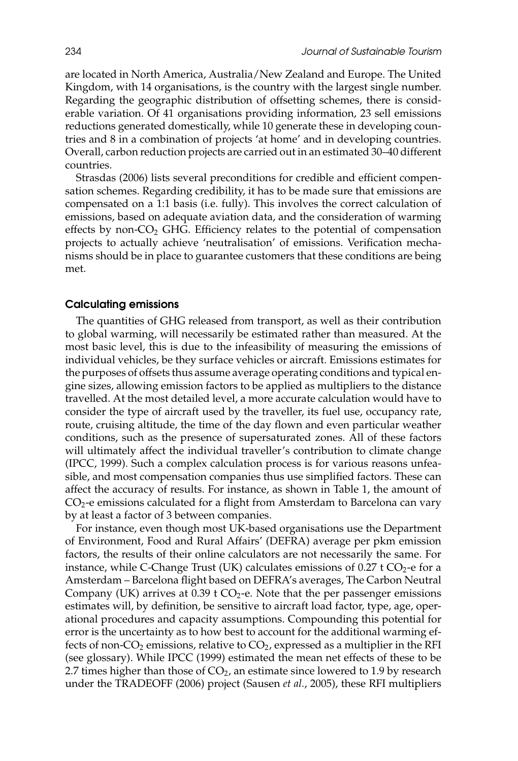are located in North America, Australia/New Zealand and Europe. The United Kingdom, with 14 organisations, is the country with the largest single number. Regarding the geographic distribution of offsetting schemes, there is considerable variation. Of 41 organisations providing information, 23 sell emissions reductions generated domestically, while 10 generate these in developing countries and 8 in a combination of projects 'at home' and in developing countries. Overall, carbon reduction projects are carried out in an estimated 30–40 different countries.

Strasdas (2006) lists several preconditions for credible and efficient compensation schemes. Regarding credibility, it has to be made sure that emissions are compensated on a 1:1 basis (i.e. fully). This involves the correct calculation of emissions, based on adequate aviation data, and the consideration of warming effects by non- $CO<sub>2</sub>$  GHG. Efficiency relates to the potential of compensation projects to actually achieve 'neutralisation' of emissions. Verification mechanisms should be in place to guarantee customers that these conditions are being met.

#### **Calculating emissions**

The quantities of GHG released from transport, as well as their contribution to global warming, will necessarily be estimated rather than measured. At the most basic level, this is due to the infeasibility of measuring the emissions of individual vehicles, be they surface vehicles or aircraft. Emissions estimates for the purposes of offsets thus assume average operating conditions and typical engine sizes, allowing emission factors to be applied as multipliers to the distance travelled. At the most detailed level, a more accurate calculation would have to consider the type of aircraft used by the traveller, its fuel use, occupancy rate, route, cruising altitude, the time of the day flown and even particular weather conditions, such as the presence of supersaturated zones. All of these factors will ultimately affect the individual traveller's contribution to climate change (IPCC, 1999). Such a complex calculation process is for various reasons unfeasible, and most compensation companies thus use simplified factors. These can affect the accuracy of results. For instance, as shown in Table 1, the amount of CO<sub>2</sub>-e emissions calculated for a flight from Amsterdam to Barcelona can vary by at least a factor of 3 between companies.

For instance, even though most UK-based organisations use the Department of Environment, Food and Rural Affairs' (DEFRA) average per pkm emission factors, the results of their online calculators are not necessarily the same. For instance, while C-Change Trust (UK) calculates emissions of  $0.27$  t CO<sub>2</sub>-e for a Amsterdam – Barcelona flight based on DEFRA's averages, The Carbon Neutral Company (UK) arrives at  $0.39$  t CO<sub>2</sub>-e. Note that the per passenger emissions estimates will, by definition, be sensitive to aircraft load factor, type, age, operational procedures and capacity assumptions. Compounding this potential for error is the uncertainty as to how best to account for the additional warming effects of non- $CO_2$  emissions, relative to  $CO_2$ , expressed as a multiplier in the RFI (see glossary). While IPCC (1999) estimated the mean net effects of these to be 2.7 times higher than those of  $CO<sub>2</sub>$ , an estimate since lowered to 1.9 by research under the TRADEOFF (2006) project (Sausen *et al.*, 2005), these RFI multipliers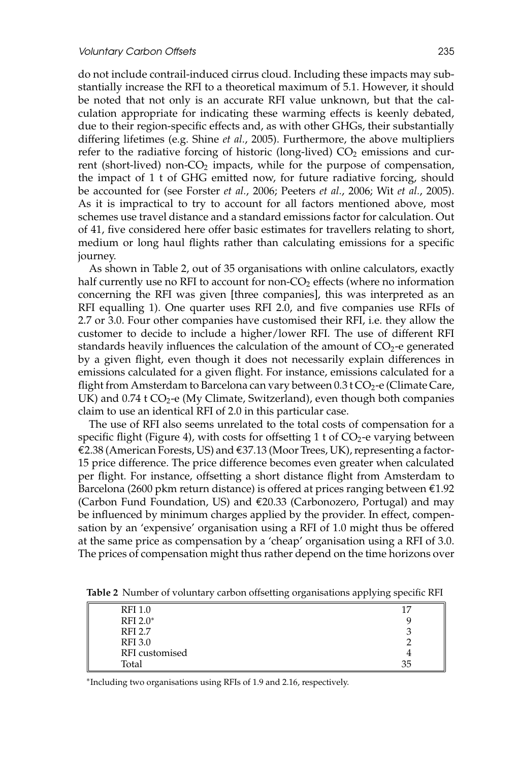do not include contrail-induced cirrus cloud. Including these impacts may substantially increase the RFI to a theoretical maximum of 5.1. However, it should be noted that not only is an accurate RFI value unknown, but that the calculation appropriate for indicating these warming effects is keenly debated, due to their region-specific effects and, as with other GHGs, their substantially differing lifetimes (e.g. Shine *et al.*, 2005). Furthermore, the above multipliers refer to the radiative forcing of historic (long-lived)  $CO<sub>2</sub>$  emissions and current (short-lived) non- $CO<sub>2</sub>$  impacts, while for the purpose of compensation, the impact of 1 t of GHG emitted now, for future radiative forcing, should be accounted for (see Forster *et al.*, 2006; Peeters *et al.*, 2006; Wit *et al.*, 2005). As it is impractical to try to account for all factors mentioned above, most schemes use travel distance and a standard emissions factor for calculation. Out of 41, five considered here offer basic estimates for travellers relating to short, medium or long haul flights rather than calculating emissions for a specific journey.

As shown in Table 2, out of 35 organisations with online calculators, exactly half currently use no RFI to account for non- $CO<sub>2</sub>$  effects (where no information concerning the RFI was given [three companies], this was interpreted as an RFI equalling 1). One quarter uses RFI 2.0, and five companies use RFIs of 2.7 or 3.0. Four other companies have customised their RFI, i.e. they allow the customer to decide to include a higher/lower RFI. The use of different RFI standards heavily influences the calculation of the amount of  $CO<sub>2</sub>$ -e generated by a given flight, even though it does not necessarily explain differences in emissions calculated for a given flight. For instance, emissions calculated for a flight from Amsterdam to Barcelona can vary between  $0.3$  t CO<sub>2</sub>-e (Climate Care, UK) and  $0.74$  t CO<sub>2</sub>-e (My Climate, Switzerland), even though both companies claim to use an identical RFI of 2.0 in this particular case.

The use of RFI also seems unrelated to the total costs of compensation for a specific flight (Figure 4), with costs for offsetting 1 t of  $CO<sub>2</sub>$ -e varying between €2.38 (American Forests, US) and €37.13 (Moor Trees, UK), representing a factor-15 price difference. The price difference becomes even greater when calculated per flight. For instance, offsetting a short distance flight from Amsterdam to Barcelona (2600 pkm return distance) is offered at prices ranging between €1.92 (Carbon Fund Foundation, US) and €20.33 (Carbonozero, Portugal) and may be influenced by minimum charges applied by the provider. In effect, compensation by an 'expensive' organisation using a RFI of 1.0 might thus be offered at the same price as compensation by a 'cheap' organisation using a RFI of 3.0. The prices of compensation might thus rather depend on the time horizons over

**Table 2** Number of voluntary carbon offsetting organisations applying specific RFI

| <b>RFI 1.0</b> | 17 |
|----------------|----|
| $RFI 2.0*$     |    |
| <b>RFI 2.7</b> |    |
| <b>RFI 3.0</b> |    |
| RFI customised |    |
| Total          | 35 |

<sup>∗</sup>Including two organisations using RFIs of 1.9 and 2.16, respectively.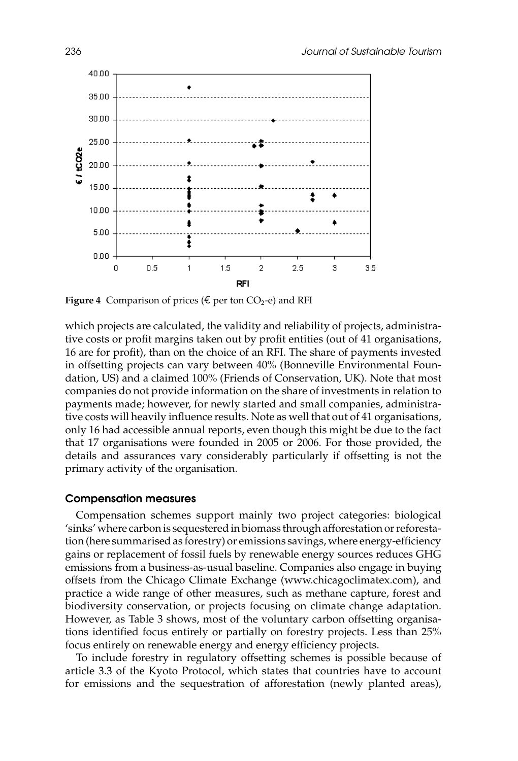

**Figure 4** Comparison of prices ( $\epsilon$  per ton CO<sub>2</sub>-e) and RFI

which projects are calculated, the validity and reliability of projects, administrative costs or profit margins taken out by profit entities (out of 41 organisations, 16 are for profit), than on the choice of an RFI. The share of payments invested in offsetting projects can vary between 40% (Bonneville Environmental Foundation, US) and a claimed 100% (Friends of Conservation, UK). Note that most companies do not provide information on the share of investments in relation to payments made; however, for newly started and small companies, administrative costs will heavily influence results. Note as well that out of 41 organisations, only 16 had accessible annual reports, even though this might be due to the fact that 17 organisations were founded in 2005 or 2006. For those provided, the details and assurances vary considerably particularly if offsetting is not the primary activity of the organisation.

#### **Compensation measures**

Compensation schemes support mainly two project categories: biological 'sinks' where carbon is sequestered in biomass through afforestation or reforestation (here summarised as forestry) or emissions savings, where energy-efficiency gains or replacement of fossil fuels by renewable energy sources reduces GHG emissions from a business-as-usual baseline. Companies also engage in buying offsets from the Chicago Climate Exchange (www.chicagoclimatex.com), and practice a wide range of other measures, such as methane capture, forest and biodiversity conservation, or projects focusing on climate change adaptation. However, as Table 3 shows, most of the voluntary carbon offsetting organisations identified focus entirely or partially on forestry projects. Less than 25% focus entirely on renewable energy and energy efficiency projects.

To include forestry in regulatory offsetting schemes is possible because of article 3.3 of the Kyoto Protocol, which states that countries have to account for emissions and the sequestration of afforestation (newly planted areas),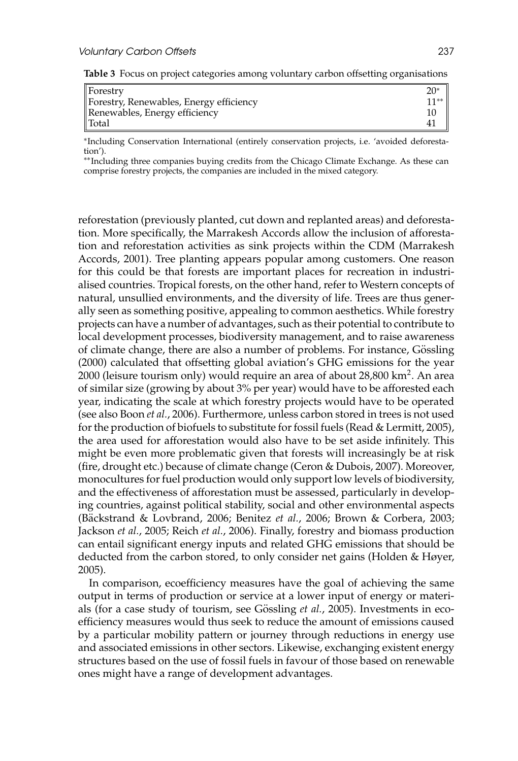**Table 3** Focus on project categories among voluntary carbon offsetting organisations

| $\parallel$ Forestry                    |        |
|-----------------------------------------|--------|
| Forestry, Renewables, Energy efficiency | $11**$ |
| Renewables, Energy efficiency           |        |
| Total                                   |        |

<sup>∗</sup>Including Conservation International (entirely conservation projects, i.e. 'avoided deforestation').

∗∗Including three companies buying credits from the Chicago Climate Exchange. As these can comprise forestry projects, the companies are included in the mixed category.

reforestation (previously planted, cut down and replanted areas) and deforestation. More specifically, the Marrakesh Accords allow the inclusion of afforestation and reforestation activities as sink projects within the CDM (Marrakesh Accords, 2001). Tree planting appears popular among customers. One reason for this could be that forests are important places for recreation in industrialised countries. Tropical forests, on the other hand, refer to Western concepts of natural, unsullied environments, and the diversity of life. Trees are thus generally seen as something positive, appealing to common aesthetics. While forestry projects can have a number of advantages, such as their potential to contribute to local development processes, biodiversity management, and to raise awareness of climate change, there are also a number of problems. For instance, Gössling (2000) calculated that offsetting global aviation's GHG emissions for the year 2000 (leisure tourism only) would require an area of about  $28,800 \text{ km}^2$ . An area of similar size (growing by about 3% per year) would have to be afforested each year, indicating the scale at which forestry projects would have to be operated (see also Boon *et al.*, 2006). Furthermore, unless carbon stored in trees is not used for the production of biofuels to substitute for fossil fuels (Read & Lermitt, 2005), the area used for afforestation would also have to be set aside infinitely. This might be even more problematic given that forests will increasingly be at risk (fire, drought etc.) because of climate change (Ceron & Dubois, 2007). Moreover, monocultures for fuel production would only support low levels of biodiversity, and the effectiveness of afforestation must be assessed, particularly in developing countries, against political stability, social and other environmental aspects (Bäckstrand & Lovbrand, 2006; Benitez et al., 2006; Brown & Corbera, 2003; Jackson *et al.*, 2005; Reich *et al.*, 2006). Finally, forestry and biomass production can entail significant energy inputs and related GHG emissions that should be deducted from the carbon stored, to only consider net gains (Holden & Høyer, 2005).

In comparison, ecoefficiency measures have the goal of achieving the same output in terms of production or service at a lower input of energy or materials (for a case study of tourism, see Gössling *et al.*, 2005). Investments in ecoefficiency measures would thus seek to reduce the amount of emissions caused by a particular mobility pattern or journey through reductions in energy use and associated emissions in other sectors. Likewise, exchanging existent energy structures based on the use of fossil fuels in favour of those based on renewable ones might have a range of development advantages.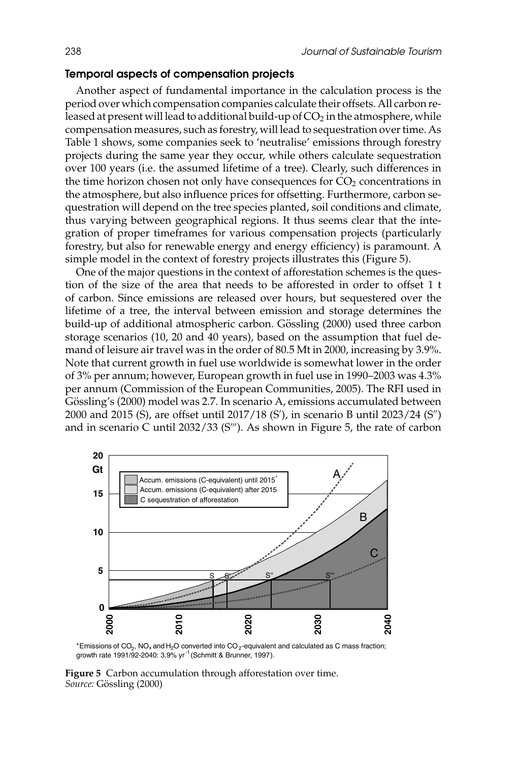#### **Temporal aspects of compensation projects**

Another aspect of fundamental importance in the calculation process is the period over which compensation companies calculate their offsets. All carbon released at present will lead to additional build-up of  $CO<sub>2</sub>$  in the atmosphere, while compensation measures, such as forestry, will lead to sequestration over time. As Table 1 shows, some companies seek to 'neutralise' emissions through forestry projects during the same year they occur, while others calculate sequestration over 100 years (i.e. the assumed lifetime of a tree). Clearly, such differences in the time horizon chosen not only have consequences for  $CO<sub>2</sub>$  concentrations in the atmosphere, but also influence prices for offsetting. Furthermore, carbon sequestration will depend on the tree species planted, soil conditions and climate, thus varying between geographical regions. It thus seems clear that the integration of proper timeframes for various compensation projects (particularly forestry, but also for renewable energy and energy efficiency) is paramount. A simple model in the context of forestry projects illustrates this (Figure 5).

One of the major questions in the context of afforestation schemes is the question of the size of the area that needs to be afforested in order to offset 1 t of carbon. Since emissions are released over hours, but sequestered over the lifetime of a tree, the interval between emission and storage determines the build-up of additional atmospheric carbon. Gössling (2000) used three carbon storage scenarios (10, 20 and 40 years), based on the assumption that fuel demand of leisure air travel was in the order of 80.5 Mt in 2000, increasing by 3.9%. Note that current growth in fuel use worldwide is somewhat lower in the order of 3% per annum; however, European growth in fuel use in 1990–2003 was 4.3% per annum (Commission of the European Communities, 2005). The RFI used in Gössling's (2000) model was 2.7. In scenario A, emissions accumulated between 2000 and 2015 (S), are offset until 2017/18 (S'), in scenario B until 2023/24 (S") and in scenario C until  $2032/33$  (S<sup>'''</sup>). As shown in Figure 5, the rate of carbon



\*Emissions of CO<sub>2</sub>, NO<sub>x</sub> and H<sub>2</sub>O converted into CO<sub>2</sub>-equivalent and calculated as C mass fraction;  $\sim$  Ernissions or CO<sub>2</sub>, NO<sub>x</sub> and H<sub>2</sub>O converted into CO<sub>2</sub>-equivalence in the struck of the struck of the strumer, 1997).

**Figure 5** Carbon accumulation through afforestation over time. Source: Gössling (2000)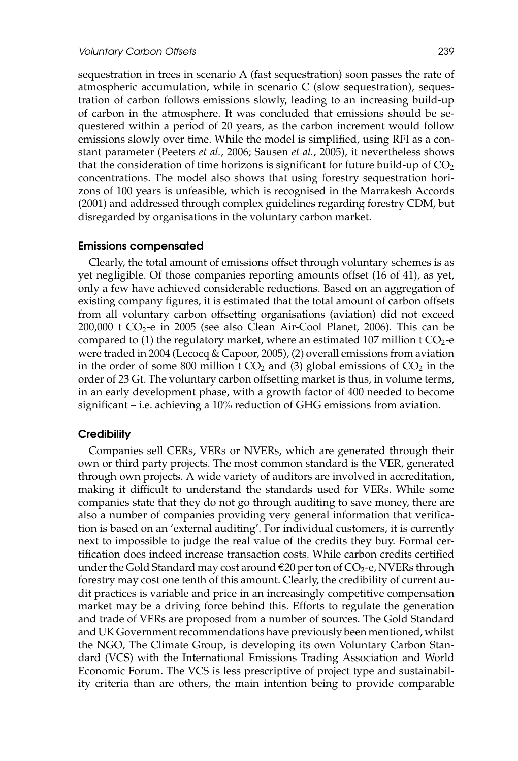sequestration in trees in scenario A (fast sequestration) soon passes the rate of atmospheric accumulation, while in scenario C (slow sequestration), sequestration of carbon follows emissions slowly, leading to an increasing build-up of carbon in the atmosphere. It was concluded that emissions should be sequestered within a period of 20 years, as the carbon increment would follow emissions slowly over time. While the model is simplified, using RFI as a constant parameter (Peeters *et al.*, 2006; Sausen *et al.*, 2005), it nevertheless shows that the consideration of time horizons is significant for future build-up of  $CO<sub>2</sub>$ concentrations. The model also shows that using forestry sequestration horizons of 100 years is unfeasible, which is recognised in the Marrakesh Accords (2001) and addressed through complex guidelines regarding forestry CDM, but disregarded by organisations in the voluntary carbon market.

#### **Emissions compensated**

Clearly, the total amount of emissions offset through voluntary schemes is as yet negligible. Of those companies reporting amounts offset (16 of 41), as yet, only a few have achieved considerable reductions. Based on an aggregation of existing company figures, it is estimated that the total amount of carbon offsets from all voluntary carbon offsetting organisations (aviation) did not exceed  $200,000$  t  $CO<sub>2</sub>$ -e in 2005 (see also Clean Air-Cool Planet, 2006). This can be compared to (1) the regulatory market, where an estimated 107 million t  $CO_2$ -e were traded in 2004 (Lecocq & Capoor, 2005), (2) overall emissions from aviation in the order of some 800 million  $t CO<sub>2</sub>$  and (3) global emissions of  $CO<sub>2</sub>$  in the order of 23 Gt. The voluntary carbon offsetting market is thus, in volume terms, in an early development phase, with a growth factor of 400 needed to become significant – i.e. achieving a 10% reduction of GHG emissions from aviation.

## **Credibility**

Companies sell CERs, VERs or NVERs, which are generated through their own or third party projects. The most common standard is the VER, generated through own projects. A wide variety of auditors are involved in accreditation, making it difficult to understand the standards used for VERs. While some companies state that they do not go through auditing to save money, there are also a number of companies providing very general information that verification is based on an 'external auditing'. For individual customers, it is currently next to impossible to judge the real value of the credits they buy. Formal certification does indeed increase transaction costs. While carbon credits certified under the Gold Standard may cost around  $\epsilon$ 20 per ton of CO<sub>2</sub>-e, NVERs through forestry may cost one tenth of this amount. Clearly, the credibility of current audit practices is variable and price in an increasingly competitive compensation market may be a driving force behind this. Efforts to regulate the generation and trade of VERs are proposed from a number of sources. The Gold Standard and UK Government recommendations have previously been mentioned, whilst the NGO, The Climate Group, is developing its own Voluntary Carbon Standard (VCS) with the International Emissions Trading Association and World Economic Forum. The VCS is less prescriptive of project type and sustainability criteria than are others, the main intention being to provide comparable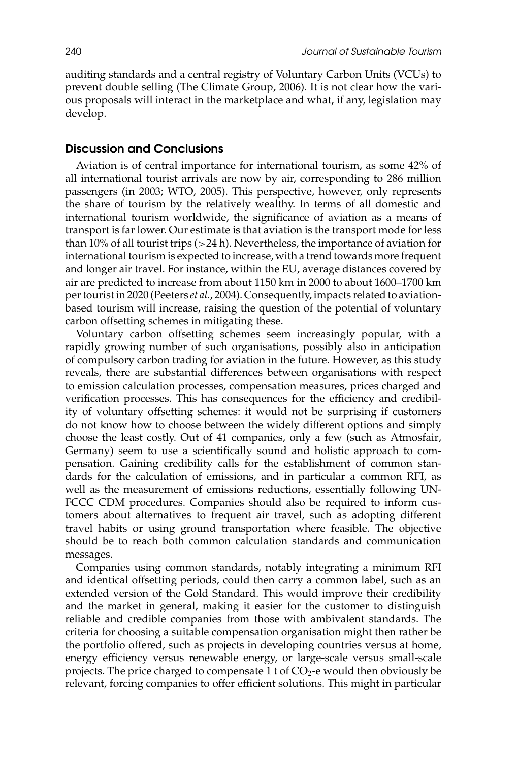auditing standards and a central registry of Voluntary Carbon Units (VCUs) to prevent double selling (The Climate Group, 2006). It is not clear how the various proposals will interact in the marketplace and what, if any, legislation may develop.

## **Discussion and Conclusions**

Aviation is of central importance for international tourism, as some 42% of all international tourist arrivals are now by air, corresponding to 286 million passengers (in 2003; WTO, 2005). This perspective, however, only represents the share of tourism by the relatively wealthy. In terms of all domestic and international tourism worldwide, the significance of aviation as a means of transport is far lower. Our estimate is that aviation is the transport mode for less than  $10\%$  of all tourist trips ( $>24$  h). Nevertheless, the importance of aviation for international tourism is expected to increase, with a trend towards more frequent and longer air travel. For instance, within the EU, average distances covered by air are predicted to increase from about 1150 km in 2000 to about 1600–1700 km per tourist in 2020 (Peeters *et al.*, 2004). Consequently, impacts related to aviationbased tourism will increase, raising the question of the potential of voluntary carbon offsetting schemes in mitigating these.

Voluntary carbon offsetting schemes seem increasingly popular, with a rapidly growing number of such organisations, possibly also in anticipation of compulsory carbon trading for aviation in the future. However, as this study reveals, there are substantial differences between organisations with respect to emission calculation processes, compensation measures, prices charged and verification processes. This has consequences for the efficiency and credibility of voluntary offsetting schemes: it would not be surprising if customers do not know how to choose between the widely different options and simply choose the least costly. Out of 41 companies, only a few (such as Atmosfair, Germany) seem to use a scientifically sound and holistic approach to compensation. Gaining credibility calls for the establishment of common standards for the calculation of emissions, and in particular a common RFI, as well as the measurement of emissions reductions, essentially following UN-FCCC CDM procedures. Companies should also be required to inform customers about alternatives to frequent air travel, such as adopting different travel habits or using ground transportation where feasible. The objective should be to reach both common calculation standards and communication messages.

Companies using common standards, notably integrating a minimum RFI and identical offsetting periods, could then carry a common label, such as an extended version of the Gold Standard. This would improve their credibility and the market in general, making it easier for the customer to distinguish reliable and credible companies from those with ambivalent standards. The criteria for choosing a suitable compensation organisation might then rather be the portfolio offered, such as projects in developing countries versus at home, energy efficiency versus renewable energy, or large-scale versus small-scale projects. The price charged to compensate  $1$  t of  $CO<sub>2</sub>$ -e would then obviously be relevant, forcing companies to offer efficient solutions. This might in particular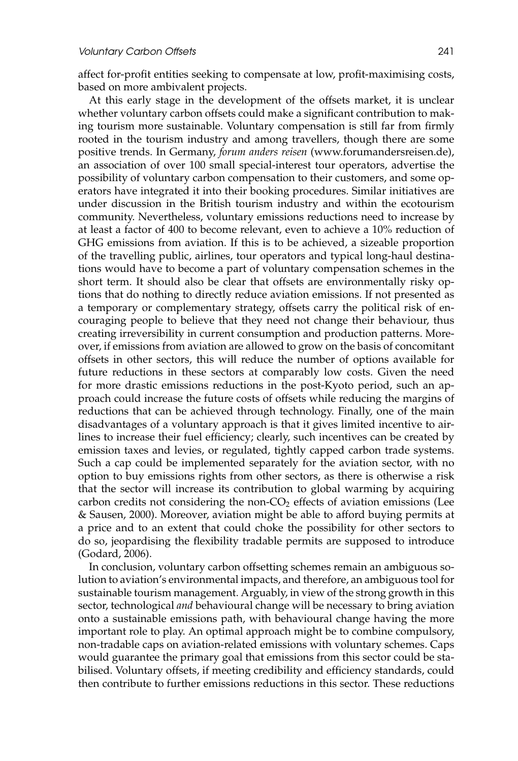affect for-profit entities seeking to compensate at low, profit-maximising costs, based on more ambivalent projects.

At this early stage in the development of the offsets market, it is unclear whether voluntary carbon offsets could make a significant contribution to making tourism more sustainable. Voluntary compensation is still far from firmly rooted in the tourism industry and among travellers, though there are some positive trends. In Germany, *forum anders reisen* (www.forumandersreisen.de), an association of over 100 small special-interest tour operators, advertise the possibility of voluntary carbon compensation to their customers, and some operators have integrated it into their booking procedures. Similar initiatives are under discussion in the British tourism industry and within the ecotourism community. Nevertheless, voluntary emissions reductions need to increase by at least a factor of 400 to become relevant, even to achieve a 10% reduction of GHG emissions from aviation. If this is to be achieved, a sizeable proportion of the travelling public, airlines, tour operators and typical long-haul destinations would have to become a part of voluntary compensation schemes in the short term. It should also be clear that offsets are environmentally risky options that do nothing to directly reduce aviation emissions. If not presented as a temporary or complementary strategy, offsets carry the political risk of encouraging people to believe that they need not change their behaviour, thus creating irreversibility in current consumption and production patterns. Moreover, if emissions from aviation are allowed to grow on the basis of concomitant offsets in other sectors, this will reduce the number of options available for future reductions in these sectors at comparably low costs. Given the need for more drastic emissions reductions in the post-Kyoto period, such an approach could increase the future costs of offsets while reducing the margins of reductions that can be achieved through technology. Finally, one of the main disadvantages of a voluntary approach is that it gives limited incentive to airlines to increase their fuel efficiency; clearly, such incentives can be created by emission taxes and levies, or regulated, tightly capped carbon trade systems. Such a cap could be implemented separately for the aviation sector, with no option to buy emissions rights from other sectors, as there is otherwise a risk that the sector will increase its contribution to global warming by acquiring carbon credits not considering the non- $CO<sub>2</sub>$  effects of aviation emissions (Lee & Sausen, 2000). Moreover, aviation might be able to afford buying permits at a price and to an extent that could choke the possibility for other sectors to do so, jeopardising the flexibility tradable permits are supposed to introduce (Godard, 2006).

In conclusion, voluntary carbon offsetting schemes remain an ambiguous solution to aviation's environmental impacts, and therefore, an ambiguous tool for sustainable tourism management. Arguably, in view of the strong growth in this sector, technological *and* behavioural change will be necessary to bring aviation onto a sustainable emissions path, with behavioural change having the more important role to play. An optimal approach might be to combine compulsory, non-tradable caps on aviation-related emissions with voluntary schemes. Caps would guarantee the primary goal that emissions from this sector could be stabilised. Voluntary offsets, if meeting credibility and efficiency standards, could then contribute to further emissions reductions in this sector. These reductions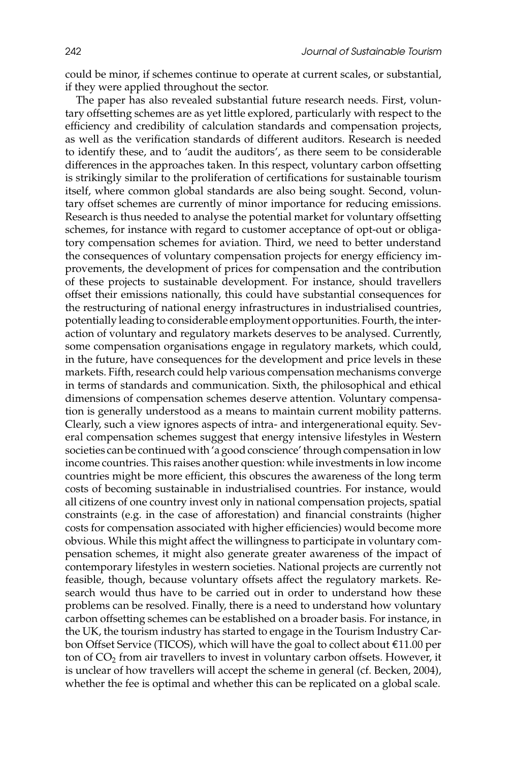could be minor, if schemes continue to operate at current scales, or substantial, if they were applied throughout the sector.

The paper has also revealed substantial future research needs. First, voluntary offsetting schemes are as yet little explored, particularly with respect to the efficiency and credibility of calculation standards and compensation projects, as well as the verification standards of different auditors. Research is needed to identify these, and to 'audit the auditors', as there seem to be considerable differences in the approaches taken. In this respect, voluntary carbon offsetting is strikingly similar to the proliferation of certifications for sustainable tourism itself, where common global standards are also being sought. Second, voluntary offset schemes are currently of minor importance for reducing emissions. Research is thus needed to analyse the potential market for voluntary offsetting schemes, for instance with regard to customer acceptance of opt-out or obligatory compensation schemes for aviation. Third, we need to better understand the consequences of voluntary compensation projects for energy efficiency improvements, the development of prices for compensation and the contribution of these projects to sustainable development. For instance, should travellers offset their emissions nationally, this could have substantial consequences for the restructuring of national energy infrastructures in industrialised countries, potentially leading to considerable employment opportunities. Fourth, the interaction of voluntary and regulatory markets deserves to be analysed. Currently, some compensation organisations engage in regulatory markets, which could, in the future, have consequences for the development and price levels in these markets. Fifth, research could help various compensation mechanisms converge in terms of standards and communication. Sixth, the philosophical and ethical dimensions of compensation schemes deserve attention. Voluntary compensation is generally understood as a means to maintain current mobility patterns. Clearly, such a view ignores aspects of intra- and intergenerational equity. Several compensation schemes suggest that energy intensive lifestyles in Western societies can be continued with 'a good conscience' through compensation in low income countries. This raises another question: while investments in low income countries might be more efficient, this obscures the awareness of the long term costs of becoming sustainable in industrialised countries. For instance, would all citizens of one country invest only in national compensation projects, spatial constraints (e.g. in the case of afforestation) and financial constraints (higher costs for compensation associated with higher efficiencies) would become more obvious. While this might affect the willingness to participate in voluntary compensation schemes, it might also generate greater awareness of the impact of contemporary lifestyles in western societies. National projects are currently not feasible, though, because voluntary offsets affect the regulatory markets. Research would thus have to be carried out in order to understand how these problems can be resolved. Finally, there is a need to understand how voluntary carbon offsetting schemes can be established on a broader basis. For instance, in the UK, the tourism industry has started to engage in the Tourism Industry Carbon Offset Service (TICOS), which will have the goal to collect about €11.00 per ton of  $CO<sub>2</sub>$  from air travellers to invest in voluntary carbon offsets. However, it is unclear of how travellers will accept the scheme in general (cf. Becken, 2004), whether the fee is optimal and whether this can be replicated on a global scale.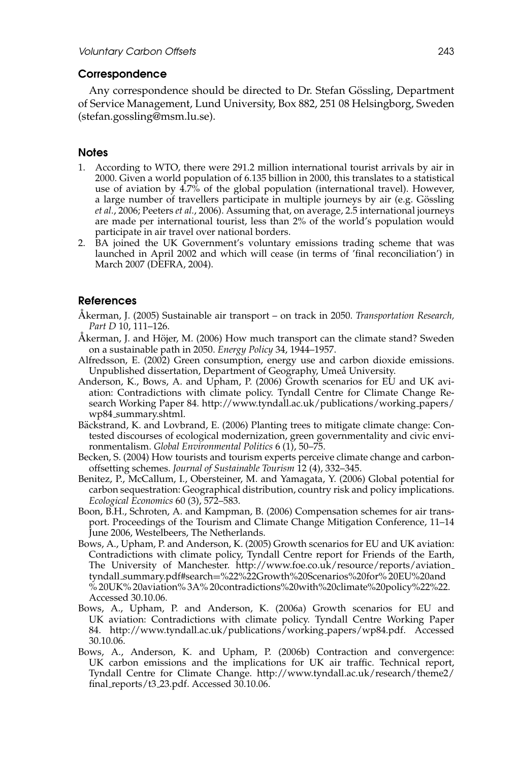#### **Correspondence**

Any correspondence should be directed to Dr. Stefan Gössling, Department of Service Management, Lund University, Box 882, 251 08 Helsingborg, Sweden (stefan.gossling@msm.lu.se).

# **Notes**

- 1. According to WTO, there were 291.2 million international tourist arrivals by air in 2000. Given a world population of 6.135 billion in 2000, this translates to a statistical use of aviation by  $4.7\%$  of the global population (international travel). However, a large number of travellers participate in multiple journeys by air (e.g. Gössling *et al.*, 2006; Peeters *et al.*, 2006). Assuming that, on average, 2.5 international journeys are made per international tourist, less than 2% of the world's population would participate in air travel over national borders.
- 2. BA joined the UK Government's voluntary emissions trading scheme that was launched in April 2002 and which will cease (in terms of 'final reconciliation') in March 2007 (DEFRA, 2004).

## **References**

- Åkerman, J. (2005) Sustainable air transport on track in 2050. *Transportation Research, Part D* 10, 111–126.
- Åkerman, J. and Höjer, M. (2006) How much transport can the climate stand? Sweden on a sustainable path in 2050. *Energy Policy* 34, 1944–1957.
- Alfredsson, E. (2002) Green consumption, energy use and carbon dioxide emissions. Unpublished dissertation, Department of Geography, Umeå University.
- Anderson, K., Bows, A. and Upham, P. (2006) Growth scenarios for EU and UK aviation: Contradictions with climate policy. Tyndall Centre for Climate Change Research Working Paper 84. http://www.tyndall.ac.uk/publications/working papers/ wp84 summary.shtml.
- Backstrand, K. and Lovbrand, E. (2006) Planting trees to mitigate climate change: Contested discourses of ecological modernization, green governmentality and civic environmentalism. *Global Environmental Politics* 6 (1), 50–75.
- Becken, S. (2004) How tourists and tourism experts perceive climate change and carbonoffsetting schemes. *Journal of Sustainable Tourism* 12 (4), 332–345.
- Benitez, P., McCallum, I., Obersteiner, M. and Yamagata, Y. (2006) Global potential for carbon sequestration: Geographical distribution, country risk and policy implications. *Ecological Economics* 60 (3), 572–583.
- Boon, B.H., Schroten, A. and Kampman, B. (2006) Compensation schemes for air transport. Proceedings of the Tourism and Climate Change Mitigation Conference, 11–14 June 2006, Westelbeers, The Netherlands.
- Bows, A., Upham, P. and Anderson, K. (2005) Growth scenarios for EU and UK aviation: Contradictions with climate policy, Tyndall Centre report for Friends of the Earth, The University of Manchester. http://www.foe.co.uk/resource/reports/aviation tyndall summary.pdf#search=%22%22Growth%20Scenarios%20for% 20EU%20and % 20UK% 20aviation% 3A% 20contradictions%20with%20climate%20policy%22%22. Accessed 30.10.06.
- Bows, A., Upham, P. and Anderson, K. (2006a) Growth scenarios for EU and UK aviation: Contradictions with climate policy. Tyndall Centre Working Paper 84. http://www.tyndall.ac.uk/publications/working papers/wp84.pdf. Accessed 30.10.06.
- Bows, A., Anderson, K. and Upham, P. (2006b) Contraction and convergence: UK carbon emissions and the implications for UK air traffic. Technical report, Tyndall Centre for Climate Change. http://www.tyndall.ac.uk/research/theme2/ final reports/t3 23.pdf. Accessed 30.10.06.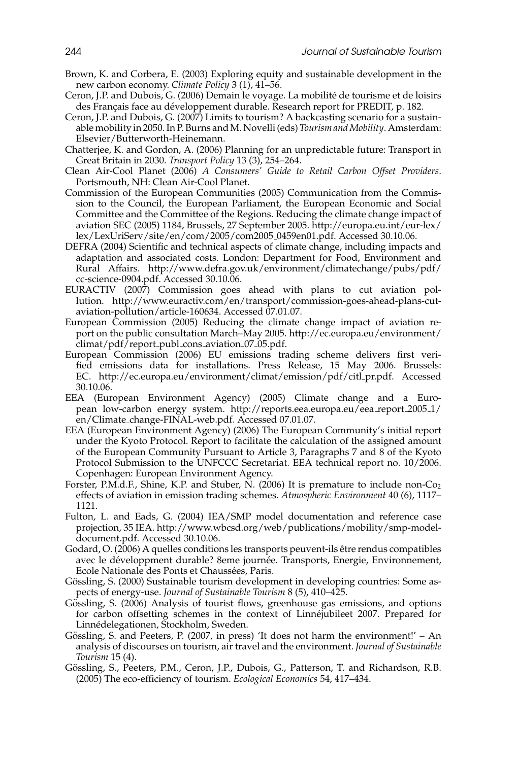- Brown, K. and Corbera, E. (2003) Exploring equity and sustainable development in the new carbon economy. *Climate Policy* 3 (1), 41–56.
- Ceron, J.P. and Dubois, G. (2006) Demain le voyage. La mobilite de tourisme et de loisirs ´ des Français face au développement durable. Research report for PREDIT, p. 182.
- Ceron, J.P. and Dubois, G. (2007) Limits to tourism? A backcasting scenario for a sustainable mobility in 2050. In P. Burns and M. Novelli (eds)*Tourism and Mobility*. Amsterdam: Elsevier/Butterworth-Heinemann.
- Chatterjee, K. and Gordon, A. (2006) Planning for an unpredictable future: Transport in Great Britain in 2030. *Transport Policy* 13 (3), 254–264.
- Clean Air-Cool Planet (2006) *A Consumers' Guide to Retail Carbon Offset Providers*. Portsmouth, NH: Clean Air-Cool Planet.
- Commission of the European Communities (2005) Communication from the Commission to the Council, the European Parliament, the European Economic and Social Committee and the Committee of the Regions. Reducing the climate change impact of aviation SEC (2005) 1184, Brussels, 27 September 2005. http://europa.eu.int/eur-lex/ lex/LexUriServ/site/en/com/2005/com2005 0459en01.pdf. Accessed 30.10.06.
- DEFRA (2004) Scientific and technical aspects of climate change, including impacts and adaptation and associated costs. London: Department for Food, Environment and Rural Affairs. http://www.defra.gov.uk/environment/climatechange/pubs/pdf/ cc-science-0904.pdf. Accessed 30.10.06.
- EURACTIV (2007) Commission goes ahead with plans to cut aviation pollution. http://www.euractiv.com/en/transport/commission-goes-ahead-plans-cutaviation-pollution/article-160634. Accessed 07.01.07.
- European Commission (2005) Reducing the climate change impact of aviation report on the public consultation March–May 2005. http://ec.europa.eu/environment/ climat/pdf/report publ cons aviation 07 05.pdf.
- European Commission (2006) EU emissions trading scheme delivers first verified emissions data for installations. Press Release, 15 May 2006. Brussels: EC. http://ec.europa.eu/environment/climat/emission/pdf/citl pr.pdf. Accessed 30.10.06.
- EEA (European Environment Agency) (2005) Climate change and a European low-carbon energy system. http://reports.eea.europa.eu/eea report 2005 1/ en/Climate change-FINAL-web.pdf. Accessed 07.01.07.
- EEA (European Environment Agency) (2006) The European Community's initial report under the Kyoto Protocol. Report to facilitate the calculation of the assigned amount of the European Community Pursuant to Article 3, Paragraphs 7 and 8 of the Kyoto Protocol Submission to the UNFCCC Secretariat. EEA technical report no. 10/2006. Copenhagen: European Environment Agency.
- Forster, P.M.d.F., Shine, K.P. and Stuber, N. (2006) It is premature to include non-Co<sub>2</sub> effects of aviation in emission trading schemes. *Atmospheric Environment* 40 (6), 1117– 1121.
- Fulton, L. and Eads, G. (2004) IEA/SMP model documentation and reference case projection, 35 IEA. http://www.wbcsd.org/web/publications/mobility/smp-modeldocument.pdf. Accessed 30.10.06.
- Godard, O. (2006) A quelles conditions les transports peuvent-ils être rendus compatibles avec le développment durable? 8eme journée. Transports, Energie, Environnement, Ecole Nationale des Ponts et Chaussées, Paris.
- Gössling, S. (2000) Sustainable tourism development in developing countries: Some aspects of energy-use. *Journal of Sustainable Tourism* 8 (5), 410–425.
- Gössling, S. (2006) Analysis of tourist flows, greenhouse gas emissions, and options for carbon offsetting schemes in the context of Linnejubileet 2007. Prepared for ´ Linnédelegationen, Stockholm, Sweden.
- Gössling, S. and Peeters, P. (2007, in press) 'It does not harm the environment!' An analysis of discourses on tourism, air travel and the environment. *Journal of Sustainable Tourism* 15 (4).
- Gössling, S., Peeters, P.M., Ceron, J.P., Dubois, G., Patterson, T. and Richardson, R.B. (2005) The eco-efficiency of tourism. *Ecological Economics* 54, 417–434.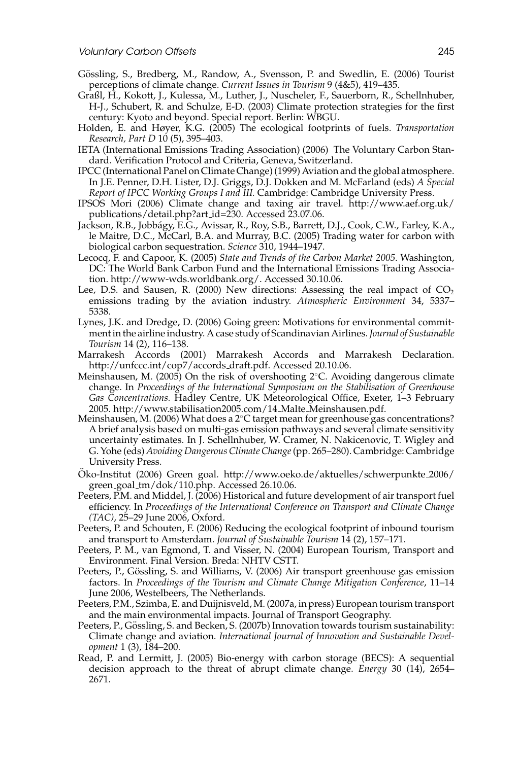- Gössling, S., Bredberg, M., Randow, A., Svensson, P. and Swedlin, E. (2006) Tourist perceptions of climate change. *Current Issues in Tourism* 9 (4&5), 419–435.
- Graßl, H., Kokott, J., Kulessa, M., Luther, J., Nuscheler, F., Sauerborn, R., Schellnhuber, H-J., Schubert, R. and Schulze, E-D. (2003) Climate protection strategies for the first century: Kyoto and beyond. Special report. Berlin: WBGU.
- Holden, E. and Høyer, K.G. (2005) The ecological footprints of fuels. *Transportation Research, Part D* 10 (5), 395–403.
- IETA (International Emissions Trading Association) (2006) The Voluntary Carbon Standard. Verification Protocol and Criteria, Geneva, Switzerland.
- IPCC (International Panel on Climate Change) (1999) Aviation and the global atmosphere. In J.E. Penner, D.H. Lister, D.J. Griggs, D.J. Dokken and M. McFarland (eds) *A Special Report of IPCC Working Groups I and III.* Cambridge: Cambridge University Press.
- IPSOS Mori (2006) Climate change and taxing air travel. http://www.aef.org.uk/ publications/detail.php?art id=230. Accessed 23.07.06.
- Jackson, R.B., Jobbágy, E.G., Avissar, R., Roy, S.B., Barrett, D.J., Cook, C.W., Farley, K.A., le Maitre, D.C., McCarl, B.A. and Murray, B.C. (2005) Trading water for carbon with biological carbon sequestration. *Science* 310, 1944–1947.
- Lecocq, F. and Capoor, K. (2005) *State and Trends of the Carbon Market 2005*. Washington, DC: The World Bank Carbon Fund and the International Emissions Trading Association. http://www-wds.worldbank.org/. Accessed 30.10.06.
- Lee, D.S. and Sausen, R. (2000) New directions: Assessing the real impact of  $CO<sub>2</sub>$ emissions trading by the aviation industry. *Atmospheric Environment* 34, 5337– 5338.
- Lynes, J.K. and Dredge, D. (2006) Going green: Motivations for environmental commitment in the airline industry. A case study of Scandinavian Airlines.*Journal of Sustainable Tourism* 14 (2), 116–138.
- Marrakesh Accords (2001) Marrakesh Accords and Marrakesh Declaration. http://unfccc.int/cop7/accords draft.pdf. Accessed 20.10.06.
- Meinshausen, M. (2005) On the risk of overshooting 2◦C. Avoiding dangerous climate change. In *Proceedings of the International Symposium on the Stabilisation of Greenhouse Gas Concentrations.* Hadley Centre, UK Meteorological Office, Exeter, 1–3 February 2005. http://www.stabilisation2005.com/14 Malte Meinshausen.pdf. Meinshausen, M. (2006) What does a 2◦C target mean for greenhouse gas concentrations?
- A brief analysis based on multi-gas emission pathways and several climate sensitivity uncertainty estimates. In J. Schellnhuber, W. Cramer, N. Nakicenovic, T. Wigley and G. Yohe (eds) *Avoiding Dangerous Climate Change*(pp. 265–280). Cambridge: Cambridge University Press.
- Öko-Institut (2006) Green goal. http://www.oeko.de/aktuelles/schwerpunkte 2006/ green goal tm/dok/110.php. Accessed 26.10.06.
- Peeters, P.M. and Middel, J. (2006) Historical and future development of air transport fuel efficiency. In *Proceedings of the International Conference on Transport and Climate Change (TAC)*, 25–29 June 2006, Oxford.
- Peeters, P. and Schouten, F. (2006) Reducing the ecological footprint of inbound tourism and transport to Amsterdam. *Journal of Sustainable Tourism* 14 (2), 157–171.
- Peeters, P. M., van Egmond, T. and Visser, N. (2004) European Tourism, Transport and Environment. Final Version. Breda: NHTV CSTT.
- Peeters, P., Gössling, S. and Williams, V. (2006) Air transport greenhouse gas emission factors. In *Proceedings of the Tourism and Climate Change Mitigation Conference*, 11–14 June 2006, Westelbeers, The Netherlands.
- Peeters, P.M., Szimba, E. and Duijnisveld, M. (2007a, in press) European tourism transport and the main environmental impacts. Journal of Transport Geography.
- Peeters, P., Gössling, S. and Becken, S. (2007b) Innovation towards tourism sustainability: Climate change and aviation. *International Journal of Innovation and Sustainable Development* 1 (3), 184–200.
- Read, P. and Lermitt, J. (2005) Bio-energy with carbon storage (BECS): A sequential decision approach to the threat of abrupt climate change. *Energy* 30 (14), 2654– 2671.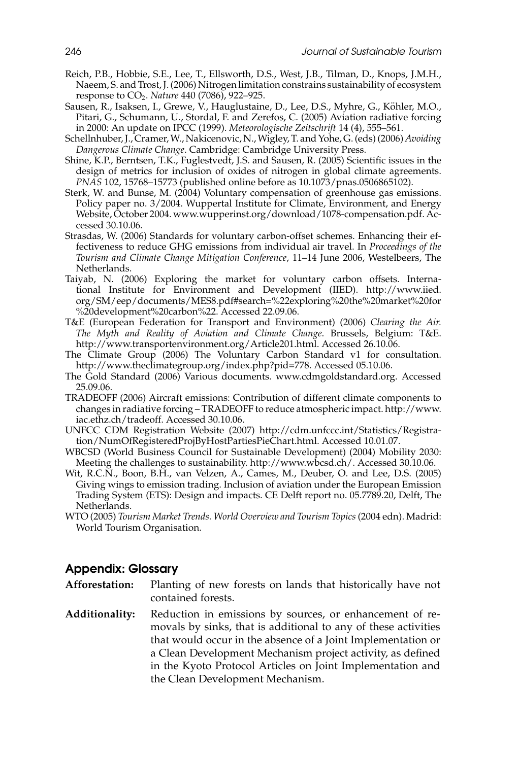- Reich, P.B., Hobbie, S.E., Lee, T., Ellsworth, D.S., West, J.B., Tilman, D., Knops, J.M.H., Naeem, S. and Trost, J. (2006) Nitrogen limitation constrains sustainability of ecosystem response to CO2. *Nature* 440 (7086), 922–925.
- Sausen, R., Isaksen, I., Grewe, V., Hauglustaine, D., Lee, D.S., Myhre, G., Köhler, M.O., Pitari, G., Schumann, U., Stordal, F. and Zerefos, C. (2005) Aviation radiative forcing in 2000: An update on IPCC (1999). *Meteorologische Zeitschrift* 14 (4), 555–561.
- Schellnhuber, J., Cramer, W., Nakicenovic, N., Wigley, T. and Yohe, G. (eds) (2006) *Avoiding Dangerous Climate Change*. Cambridge: Cambridge University Press.
- Shine, K.P., Berntsen, T.K., Fuglestvedt, J.S. and Sausen, R. (2005) Scientific issues in the design of metrics for inclusion of oxides of nitrogen in global climate agreements. *PNAS* 102, 15768–15773 (published online before as 10.1073/pnas.0506865102).
- Sterk, W. and Bunse, M. (2004) Voluntary compensation of greenhouse gas emissions. Policy paper no. 3/2004. Wuppertal Institute for Climate, Environment, and Energy Website, October 2004. www.wupperinst.org/download/1078-compensation.pdf. Accessed 30.10.06.
- Strasdas, W. (2006) Standards for voluntary carbon-offset schemes. Enhancing their effectiveness to reduce GHG emissions from individual air travel. In *Proceedings of the Tourism and Climate Change Mitigation Conference*, 11–14 June 2006, Westelbeers, The Netherlands.
- Taiyab, N. (2006) Exploring the market for voluntary carbon offsets. International Institute for Environment and Development (IIED). http://www.iied. org/SM/eep/documents/MES8.pdf#search=%22exploring%20the%20market%20for %20development%20carbon%22. Accessed 22.09.06.
- T&E (European Federation for Transport and Environment) (2006) *Clearing the Air. The Myth and Reality of Aviation and Climate Change*. Brussels, Belgium: T&E. http://www.transportenvironment.org/Article201.html. Accessed 26.10.06.
- The Climate Group (2006) The Voluntary Carbon Standard v1 for consultation. http://www.theclimategroup.org/index.php?pid=778. Accessed 05.10.06.
- The Gold Standard (2006) Various documents. www.cdmgoldstandard.org. Accessed 25.09.06.
- TRADEOFF (2006) Aircraft emissions: Contribution of different climate components to changes in radiative forcing – TRADEOFF to reduce atmospheric impact. http://www. iac.ethz.ch/tradeoff. Accessed 30.10.06.
- UNFCC CDM Registration Website (2007) http://cdm.unfccc.int/Statistics/Registration/NumOfRegisteredProjByHostPartiesPieChart.html. Accessed 10.01.07.
- WBCSD (World Business Council for Sustainable Development) (2004) Mobility 2030: Meeting the challenges to sustainability. http://www.wbcsd.ch/. Accessed 30.10.06.
- Wit, R.C.N., Boon, B.H., van Velzen, A., Cames, M., Deuber, O. and Lee, D.S. (2005) Giving wings to emission trading. Inclusion of aviation under the European Emission Trading System (ETS): Design and impacts. CE Delft report no. 05.7789.20, Delft, The Netherlands.
- WTO (2005) *Tourism Market Trends. World Overview and Tourism Topics* (2004 edn). Madrid: World Tourism Organisation.

# **Appendix: Glossary**

**Afforestation:** Planting of new forests on lands that historically have not contained forests.

**Additionality:** Reduction in emissions by sources, or enhancement of removals by sinks, that is additional to any of these activities that would occur in the absence of a Joint Implementation or a Clean Development Mechanism project activity, as defined in the Kyoto Protocol Articles on Joint Implementation and the Clean Development Mechanism.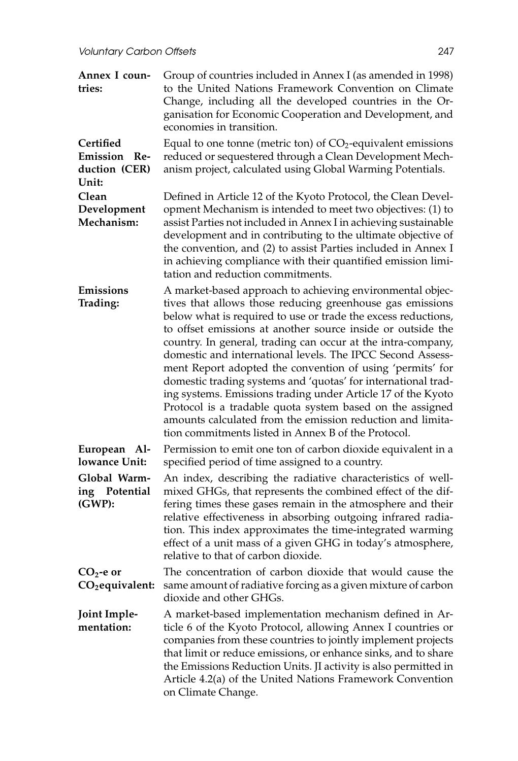| Annex I coun-<br>tries:                             | Group of countries included in Annex I (as amended in 1998)<br>to the United Nations Framework Convention on Climate<br>Change, including all the developed countries in the Or-<br>ganisation for Economic Cooperation and Development, and<br>economies in transition.                                                                                                                                                                                                                                                                                                                                                                                                                                                                                             |
|-----------------------------------------------------|----------------------------------------------------------------------------------------------------------------------------------------------------------------------------------------------------------------------------------------------------------------------------------------------------------------------------------------------------------------------------------------------------------------------------------------------------------------------------------------------------------------------------------------------------------------------------------------------------------------------------------------------------------------------------------------------------------------------------------------------------------------------|
| Certified<br>Emission Re-<br>duction (CER)<br>Unit: | Equal to one tonne (metric ton) of $CO2$ -equivalent emissions<br>reduced or sequestered through a Clean Development Mech-<br>anism project, calculated using Global Warming Potentials.                                                                                                                                                                                                                                                                                                                                                                                                                                                                                                                                                                             |
| Clean<br>Development<br>Mechanism:                  | Defined in Article 12 of the Kyoto Protocol, the Clean Devel-<br>opment Mechanism is intended to meet two objectives: (1) to<br>assist Parties not included in Annex I in achieving sustainable<br>development and in contributing to the ultimate objective of<br>the convention, and (2) to assist Parties included in Annex I<br>in achieving compliance with their quantified emission limi-<br>tation and reduction commitments.                                                                                                                                                                                                                                                                                                                                |
| Emissions<br>Trading:                               | A market-based approach to achieving environmental objec-<br>tives that allows those reducing greenhouse gas emissions<br>below what is required to use or trade the excess reductions,<br>to offset emissions at another source inside or outside the<br>country. In general, trading can occur at the intra-company,<br>domestic and international levels. The IPCC Second Assess-<br>ment Report adopted the convention of using 'permits' for<br>domestic trading systems and 'quotas' for international trad-<br>ing systems. Emissions trading under Article 17 of the Kyoto<br>Protocol is a tradable quota system based on the assigned<br>amounts calculated from the emission reduction and limita-<br>tion commitments listed in Annex B of the Protocol. |
| European Al-<br>lowance Unit:                       | Permission to emit one ton of carbon dioxide equivalent in a<br>specified period of time assigned to a country.                                                                                                                                                                                                                                                                                                                                                                                                                                                                                                                                                                                                                                                      |
| Global Warm-<br>ing Potential<br>$(GWP)$ :          | An index, describing the radiative characteristics of well-<br>mixed GHGs, that represents the combined effect of the dif-<br>fering times these gases remain in the atmosphere and their<br>relative effectiveness in absorbing outgoing infrared radia-<br>tion. This index approximates the time-integrated warming<br>effect of a unit mass of a given GHG in today's atmosphere,<br>relative to that of carbon dioxide.                                                                                                                                                                                                                                                                                                                                         |
| $CO2$ -e or<br>CO <sub>2</sub> equivalent:          | The concentration of carbon dioxide that would cause the<br>same amount of radiative forcing as a given mixture of carbon<br>dioxide and other GHGs.                                                                                                                                                                                                                                                                                                                                                                                                                                                                                                                                                                                                                 |
| Joint Imple-<br>mentation:                          | A market-based implementation mechanism defined in Ar-<br>ticle 6 of the Kyoto Protocol, allowing Annex I countries or<br>companies from these countries to jointly implement projects<br>that limit or reduce emissions, or enhance sinks, and to share<br>the Emissions Reduction Units. JI activity is also permitted in<br>Article 4.2(a) of the United Nations Framework Convention<br>on Climate Change.                                                                                                                                                                                                                                                                                                                                                       |